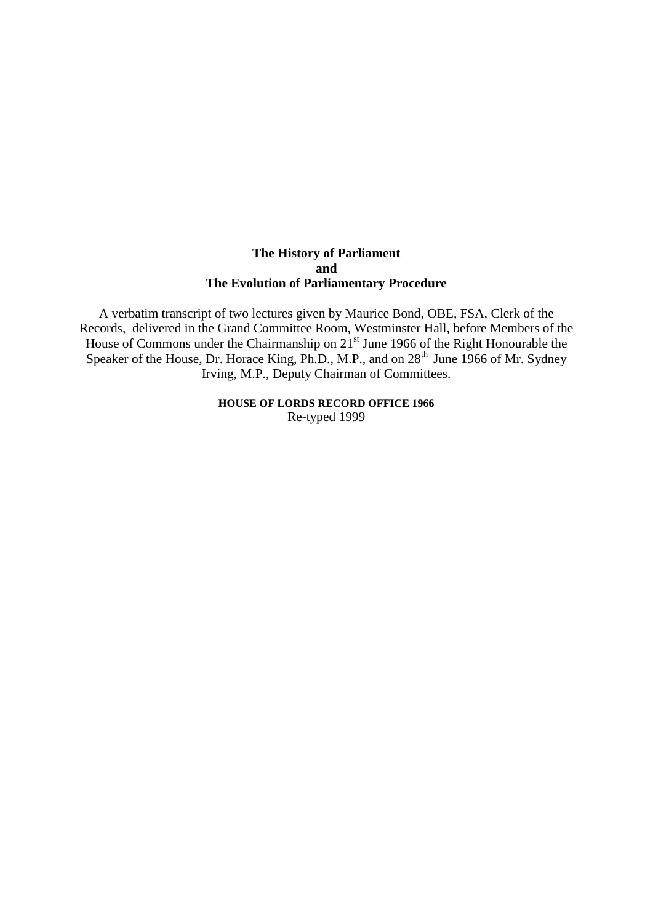# **The History of Parliament and The Evolution of Parliamentary Procedure**

A verbatim transcript of two lectures given by Maurice Bond, OBE, FSA, Clerk of the Records, delivered in the Grand Committee Room, Westminster Hall, before Members of the House of Commons under the Chairmanship on  $21<sup>st</sup>$  June 1966 of the Right Honourable the Speaker of the House, Dr. Horace King, Ph.D., M.P., and on 28<sup>th</sup> June 1966 of Mr. Sydney Irving, M.P., Deputy Chairman of Committees.

> **HOUSE OF LORDS RECORD OFFICE 1966** Re-typed 1999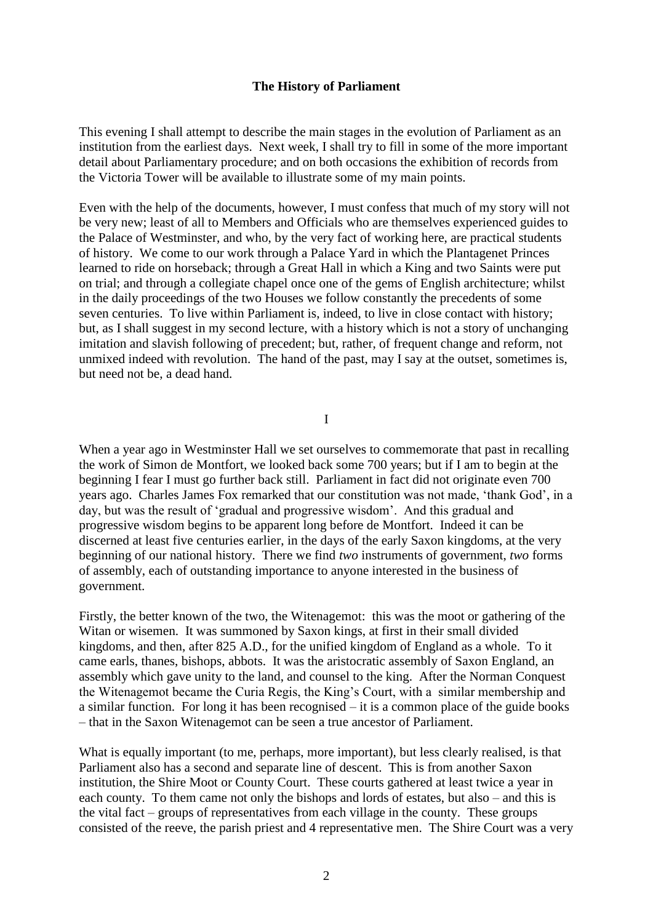# **The History of Parliament**

This evening I shall attempt to describe the main stages in the evolution of Parliament as an institution from the earliest days. Next week, I shall try to fill in some of the more important detail about Parliamentary procedure; and on both occasions the exhibition of records from the Victoria Tower will be available to illustrate some of my main points.

Even with the help of the documents, however, I must confess that much of my story will not be very new; least of all to Members and Officials who are themselves experienced guides to the Palace of Westminster, and who, by the very fact of working here, are practical students of history. We come to our work through a Palace Yard in which the Plantagenet Princes learned to ride on horseback; through a Great Hall in which a King and two Saints were put on trial; and through a collegiate chapel once one of the gems of English architecture; whilst in the daily proceedings of the two Houses we follow constantly the precedents of some seven centuries. To live within Parliament is, indeed, to live in close contact with history; but, as I shall suggest in my second lecture, with a history which is not a story of unchanging imitation and slavish following of precedent; but, rather, of frequent change and reform, not unmixed indeed with revolution. The hand of the past, may I say at the outset, sometimes is, but need not be, a dead hand.

I

When a year ago in Westminster Hall we set ourselves to commemorate that past in recalling the work of Simon de Montfort, we looked back some 700 years; but if I am to begin at the beginning I fear I must go further back still. Parliament in fact did not originate even 700 years ago. Charles James Fox remarked that our constitution was not made, "thank God", in a day, but was the result of "gradual and progressive wisdom". And this gradual and progressive wisdom begins to be apparent long before de Montfort. Indeed it can be discerned at least five centuries earlier, in the days of the early Saxon kingdoms, at the very beginning of our national history. There we find *two* instruments of government, *two* forms of assembly, each of outstanding importance to anyone interested in the business of government.

Firstly, the better known of the two, the Witenagemot: this was the moot or gathering of the Witan or wisemen. It was summoned by Saxon kings, at first in their small divided kingdoms, and then, after 825 A.D., for the unified kingdom of England as a whole. To it came earls, thanes, bishops, abbots. It was the aristocratic assembly of Saxon England, an assembly which gave unity to the land, and counsel to the king. After the Norman Conquest the Witenagemot became the Curia Regis, the King"s Court, with a similar membership and a similar function. For long it has been recognised – it is a common place of the guide books – that in the Saxon Witenagemot can be seen a true ancestor of Parliament.

What is equally important (to me, perhaps, more important), but less clearly realised, is that Parliament also has a second and separate line of descent. This is from another Saxon institution, the Shire Moot or County Court. These courts gathered at least twice a year in each county. To them came not only the bishops and lords of estates, but also – and this is the vital fact – groups of representatives from each village in the county. These groups consisted of the reeve, the parish priest and 4 representative men. The Shire Court was a very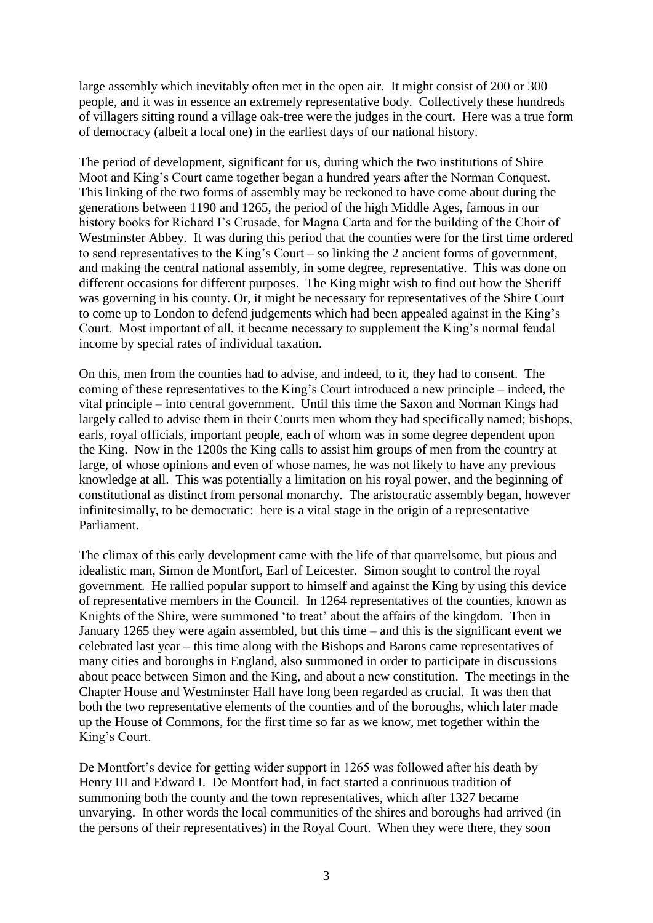large assembly which inevitably often met in the open air. It might consist of 200 or 300 people, and it was in essence an extremely representative body. Collectively these hundreds of villagers sitting round a village oak-tree were the judges in the court. Here was a true form of democracy (albeit a local one) in the earliest days of our national history.

The period of development, significant for us, during which the two institutions of Shire Moot and King's Court came together began a hundred years after the Norman Conquest. This linking of the two forms of assembly may be reckoned to have come about during the generations between 1190 and 1265, the period of the high Middle Ages, famous in our history books for Richard I"s Crusade, for Magna Carta and for the building of the Choir of Westminster Abbey. It was during this period that the counties were for the first time ordered to send representatives to the King"s Court – so linking the 2 ancient forms of government, and making the central national assembly, in some degree, representative. This was done on different occasions for different purposes. The King might wish to find out how the Sheriff was governing in his county. Or, it might be necessary for representatives of the Shire Court to come up to London to defend judgements which had been appealed against in the King"s Court. Most important of all, it became necessary to supplement the King"s normal feudal income by special rates of individual taxation.

On this, men from the counties had to advise, and indeed, to it, they had to consent. The coming of these representatives to the King"s Court introduced a new principle – indeed, the vital principle – into central government. Until this time the Saxon and Norman Kings had largely called to advise them in their Courts men whom they had specifically named; bishops, earls, royal officials, important people, each of whom was in some degree dependent upon the King. Now in the 1200s the King calls to assist him groups of men from the country at large, of whose opinions and even of whose names, he was not likely to have any previous knowledge at all. This was potentially a limitation on his royal power, and the beginning of constitutional as distinct from personal monarchy. The aristocratic assembly began, however infinitesimally, to be democratic: here is a vital stage in the origin of a representative Parliament.

The climax of this early development came with the life of that quarrelsome, but pious and idealistic man, Simon de Montfort, Earl of Leicester. Simon sought to control the royal government. He rallied popular support to himself and against the King by using this device of representative members in the Council. In 1264 representatives of the counties, known as Knights of the Shire, were summoned "to treat" about the affairs of the kingdom. Then in January 1265 they were again assembled, but this time – and this is the significant event we celebrated last year – this time along with the Bishops and Barons came representatives of many cities and boroughs in England, also summoned in order to participate in discussions about peace between Simon and the King, and about a new constitution. The meetings in the Chapter House and Westminster Hall have long been regarded as crucial. It was then that both the two representative elements of the counties and of the boroughs, which later made up the House of Commons, for the first time so far as we know, met together within the King"s Court.

De Montfort's device for getting wider support in 1265 was followed after his death by Henry III and Edward I. De Montfort had, in fact started a continuous tradition of summoning both the county and the town representatives, which after 1327 became unvarying. In other words the local communities of the shires and boroughs had arrived (in the persons of their representatives) in the Royal Court. When they were there, they soon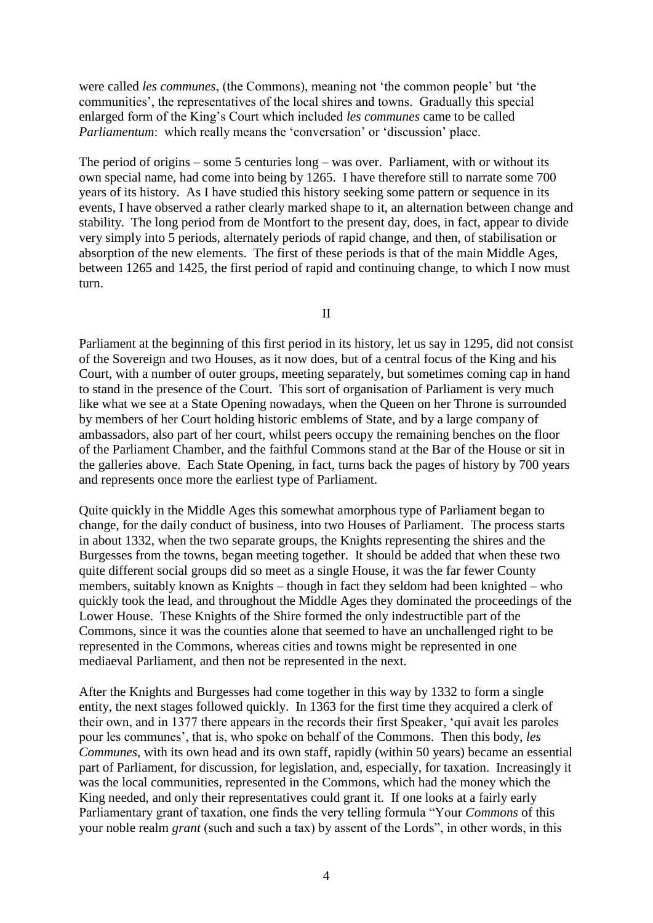were called *les communes*, (the Commons), meaning not "the common people" but "the communities", the representatives of the local shires and towns. Gradually this special enlarged form of the King"s Court which included *les communes* came to be called *Parliamentum*: which really means the 'conversation' or 'discussion' place.

The period of origins – some 5 centuries long – was over. Parliament, with or without its own special name, had come into being by 1265. I have therefore still to narrate some 700 years of its history. As I have studied this history seeking some pattern or sequence in its events, I have observed a rather clearly marked shape to it, an alternation between change and stability. The long period from de Montfort to the present day, does, in fact, appear to divide very simply into 5 periods, alternately periods of rapid change, and then, of stabilisation or absorption of the new elements. The first of these periods is that of the main Middle Ages, between 1265 and 1425, the first period of rapid and continuing change, to which I now must turn.

II

Parliament at the beginning of this first period in its history, let us say in 1295, did not consist of the Sovereign and two Houses, as it now does, but of a central focus of the King and his Court, with a number of outer groups, meeting separately, but sometimes coming cap in hand to stand in the presence of the Court. This sort of organisation of Parliament is very much like what we see at a State Opening nowadays, when the Queen on her Throne is surrounded by members of her Court holding historic emblems of State, and by a large company of ambassadors, also part of her court, whilst peers occupy the remaining benches on the floor of the Parliament Chamber, and the faithful Commons stand at the Bar of the House or sit in the galleries above. Each State Opening, in fact, turns back the pages of history by 700 years and represents once more the earliest type of Parliament.

Quite quickly in the Middle Ages this somewhat amorphous type of Parliament began to change, for the daily conduct of business, into two Houses of Parliament. The process starts in about 1332, when the two separate groups, the Knights representing the shires and the Burgesses from the towns, began meeting together. It should be added that when these two quite different social groups did so meet as a single House, it was the far fewer County members, suitably known as Knights – though in fact they seldom had been knighted – who quickly took the lead, and throughout the Middle Ages they dominated the proceedings of the Lower House. These Knights of the Shire formed the only indestructible part of the Commons, since it was the counties alone that seemed to have an unchallenged right to be represented in the Commons, whereas cities and towns might be represented in one mediaeval Parliament, and then not be represented in the next.

After the Knights and Burgesses had come together in this way by 1332 to form a single entity, the next stages followed quickly. In 1363 for the first time they acquired a clerk of their own, and in 1377 there appears in the records their first Speaker, "qui avait les paroles pour les communes", that is, who spoke on behalf of the Commons. Then this body, *les Communes*, with its own head and its own staff, rapidly (within 50 years) became an essential part of Parliament, for discussion, for legislation, and, especially, for taxation. Increasingly it was the local communities, represented in the Commons, which had the money which the King needed, and only their representatives could grant it. If one looks at a fairly early Parliamentary grant of taxation, one finds the very telling formula "Your *Commons* of this your noble realm *grant* (such and such a tax) by assent of the Lords", in other words, in this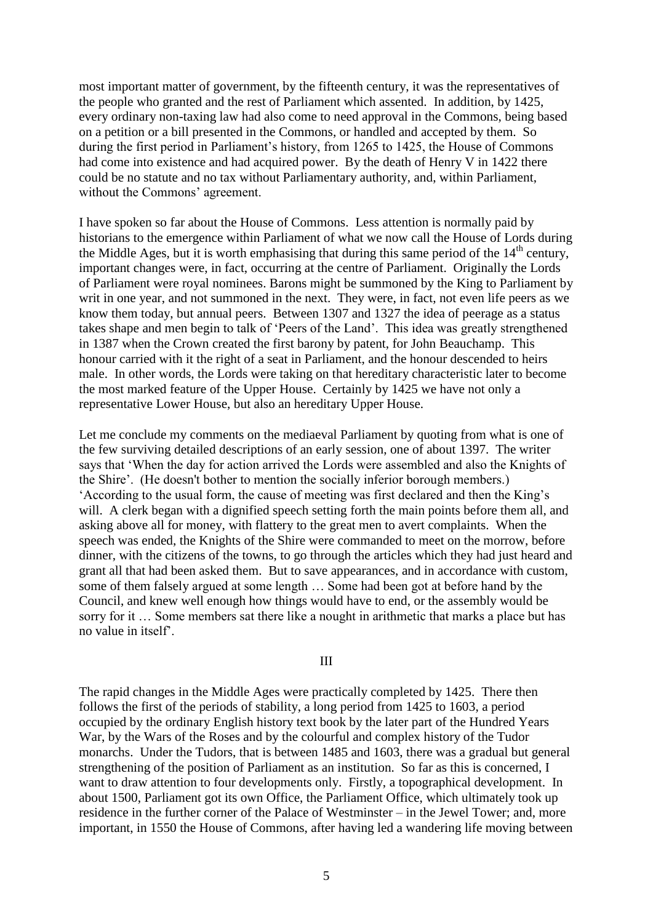most important matter of government, by the fifteenth century, it was the representatives of the people who granted and the rest of Parliament which assented. In addition, by 1425, every ordinary non-taxing law had also come to need approval in the Commons, being based on a petition or a bill presented in the Commons, or handled and accepted by them. So during the first period in Parliament's history, from 1265 to 1425, the House of Commons had come into existence and had acquired power. By the death of Henry V in 1422 there could be no statute and no tax without Parliamentary authority, and, within Parliament, without the Commons' agreement.

I have spoken so far about the House of Commons. Less attention is normally paid by historians to the emergence within Parliament of what we now call the House of Lords during the Middle Ages, but it is worth emphasising that during this same period of the  $14<sup>th</sup>$  century, important changes were, in fact, occurring at the centre of Parliament. Originally the Lords of Parliament were royal nominees. Barons might be summoned by the King to Parliament by writ in one year, and not summoned in the next. They were, in fact, not even life peers as we know them today, but annual peers. Between 1307 and 1327 the idea of peerage as a status takes shape and men begin to talk of "Peers of the Land". This idea was greatly strengthened in 1387 when the Crown created the first barony by patent, for John Beauchamp. This honour carried with it the right of a seat in Parliament, and the honour descended to heirs male. In other words, the Lords were taking on that hereditary characteristic later to become the most marked feature of the Upper House. Certainly by 1425 we have not only a representative Lower House, but also an hereditary Upper House.

Let me conclude my comments on the mediaeval Parliament by quoting from what is one of the few surviving detailed descriptions of an early session, one of about 1397. The writer says that "When the day for action arrived the Lords were assembled and also the Knights of the Shire". (He doesn't bother to mention the socially inferior borough members.) "According to the usual form, the cause of meeting was first declared and then the King"s will. A clerk began with a dignified speech setting forth the main points before them all, and asking above all for money, with flattery to the great men to avert complaints. When the speech was ended, the Knights of the Shire were commanded to meet on the morrow, before dinner, with the citizens of the towns, to go through the articles which they had just heard and grant all that had been asked them. But to save appearances, and in accordance with custom, some of them falsely argued at some length … Some had been got at before hand by the Council, and knew well enough how things would have to end, or the assembly would be sorry for it … Some members sat there like a nought in arithmetic that marks a place but has no value in itself".

### III

The rapid changes in the Middle Ages were practically completed by 1425. There then follows the first of the periods of stability, a long period from 1425 to 1603, a period occupied by the ordinary English history text book by the later part of the Hundred Years War, by the Wars of the Roses and by the colourful and complex history of the Tudor monarchs. Under the Tudors, that is between 1485 and 1603, there was a gradual but general strengthening of the position of Parliament as an institution. So far as this is concerned, I want to draw attention to four developments only. Firstly, a topographical development. In about 1500, Parliament got its own Office, the Parliament Office, which ultimately took up residence in the further corner of the Palace of Westminster – in the Jewel Tower; and, more important, in 1550 the House of Commons, after having led a wandering life moving between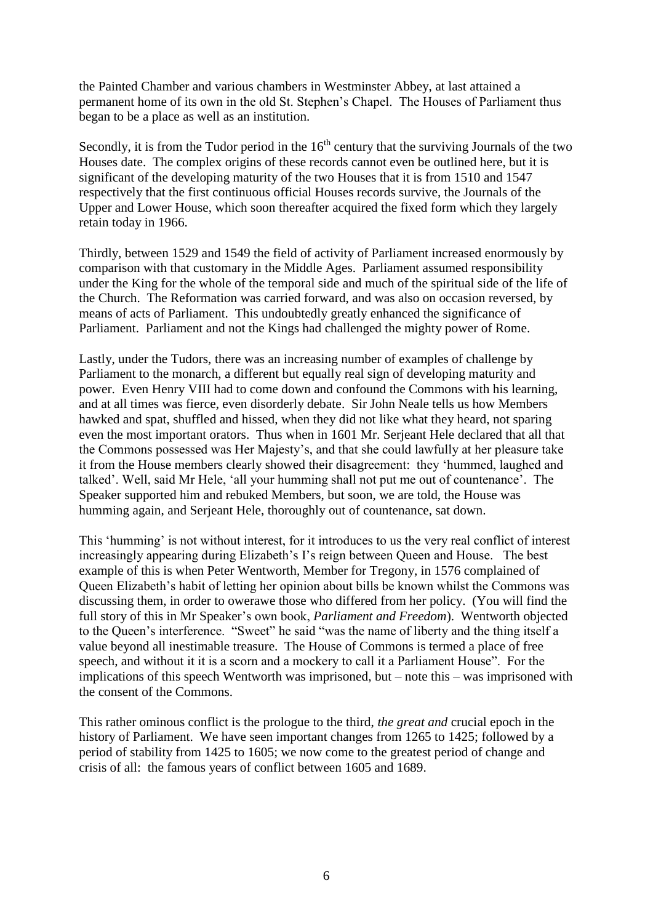the Painted Chamber and various chambers in Westminster Abbey, at last attained a permanent home of its own in the old St. Stephen"s Chapel. The Houses of Parliament thus began to be a place as well as an institution.

Secondly, it is from the Tudor period in the  $16<sup>th</sup>$  century that the surviving Journals of the two Houses date. The complex origins of these records cannot even be outlined here, but it is significant of the developing maturity of the two Houses that it is from 1510 and 1547 respectively that the first continuous official Houses records survive, the Journals of the Upper and Lower House, which soon thereafter acquired the fixed form which they largely retain today in 1966.

Thirdly, between 1529 and 1549 the field of activity of Parliament increased enormously by comparison with that customary in the Middle Ages. Parliament assumed responsibility under the King for the whole of the temporal side and much of the spiritual side of the life of the Church. The Reformation was carried forward, and was also on occasion reversed, by means of acts of Parliament. This undoubtedly greatly enhanced the significance of Parliament. Parliament and not the Kings had challenged the mighty power of Rome.

Lastly, under the Tudors, there was an increasing number of examples of challenge by Parliament to the monarch, a different but equally real sign of developing maturity and power. Even Henry VIII had to come down and confound the Commons with his learning, and at all times was fierce, even disorderly debate. Sir John Neale tells us how Members hawked and spat, shuffled and hissed, when they did not like what they heard, not sparing even the most important orators. Thus when in 1601 Mr. Serjeant Hele declared that all that the Commons possessed was Her Majesty"s, and that she could lawfully at her pleasure take it from the House members clearly showed their disagreement: they "hummed, laughed and talked". Well, said Mr Hele, "all your humming shall not put me out of countenance". The Speaker supported him and rebuked Members, but soon, we are told, the House was humming again, and Serjeant Hele, thoroughly out of countenance, sat down.

This 'humming' is not without interest, for it introduces to us the very real conflict of interest increasingly appearing during Elizabeth's I's reign between Queen and House. The best example of this is when Peter Wentworth, Member for Tregony, in 1576 complained of Queen Elizabeth"s habit of letting her opinion about bills be known whilst the Commons was discussing them, in order to owerawe those who differed from her policy. (You will find the full story of this in Mr Speaker"s own book, *Parliament and Freedom*). Wentworth objected to the Queen"s interference. "Sweet" he said "was the name of liberty and the thing itself a value beyond all inestimable treasure. The House of Commons is termed a place of free speech, and without it it is a scorn and a mockery to call it a Parliament House". For the implications of this speech Wentworth was imprisoned, but – note this – was imprisoned with the consent of the Commons.

This rather ominous conflict is the prologue to the third, *the great and* crucial epoch in the history of Parliament. We have seen important changes from 1265 to 1425; followed by a period of stability from 1425 to 1605; we now come to the greatest period of change and crisis of all: the famous years of conflict between 1605 and 1689.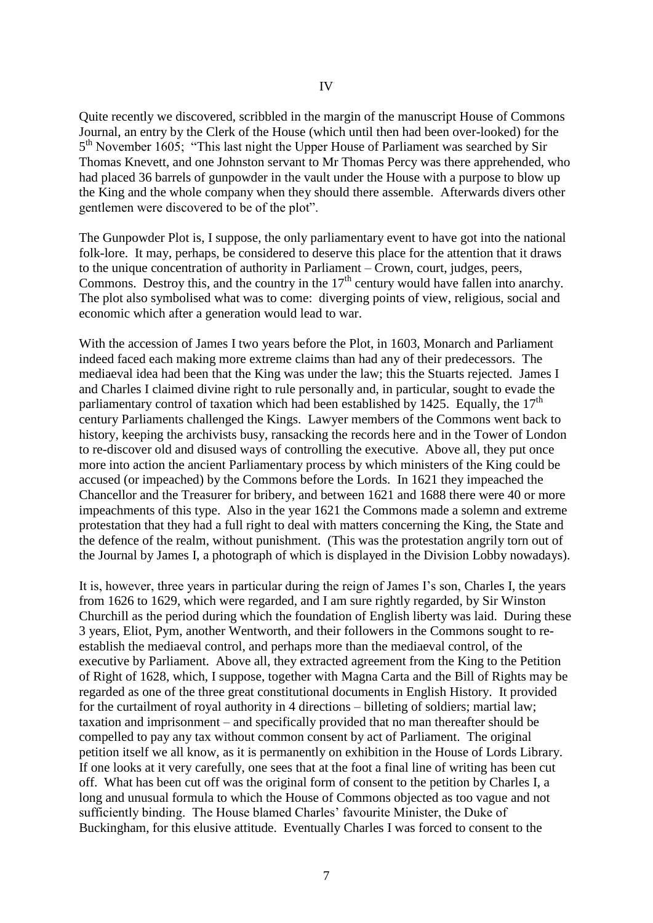Quite recently we discovered, scribbled in the margin of the manuscript House of Commons Journal, an entry by the Clerk of the House (which until then had been over-looked) for the 5<sup>th</sup> November 1605; "This last night the Upper House of Parliament was searched by Sir Thomas Knevett, and one Johnston servant to Mr Thomas Percy was there apprehended, who had placed 36 barrels of gunpowder in the vault under the House with a purpose to blow up the King and the whole company when they should there assemble. Afterwards divers other gentlemen were discovered to be of the plot".

The Gunpowder Plot is, I suppose, the only parliamentary event to have got into the national folk-lore. It may, perhaps, be considered to deserve this place for the attention that it draws to the unique concentration of authority in Parliament – Crown, court, judges, peers, Commons. Destroy this, and the country in the  $17<sup>th</sup>$  century would have fallen into anarchy. The plot also symbolised what was to come: diverging points of view, religious, social and economic which after a generation would lead to war.

With the accession of James I two years before the Plot, in 1603, Monarch and Parliament indeed faced each making more extreme claims than had any of their predecessors. The mediaeval idea had been that the King was under the law; this the Stuarts rejected. James I and Charles I claimed divine right to rule personally and, in particular, sought to evade the parliamentary control of taxation which had been established by 1425. Equally, the  $17<sup>th</sup>$ century Parliaments challenged the Kings. Lawyer members of the Commons went back to history, keeping the archivists busy, ransacking the records here and in the Tower of London to re-discover old and disused ways of controlling the executive. Above all, they put once more into action the ancient Parliamentary process by which ministers of the King could be accused (or impeached) by the Commons before the Lords. In 1621 they impeached the Chancellor and the Treasurer for bribery, and between 1621 and 1688 there were 40 or more impeachments of this type. Also in the year 1621 the Commons made a solemn and extreme protestation that they had a full right to deal with matters concerning the King, the State and the defence of the realm, without punishment. (This was the protestation angrily torn out of the Journal by James I, a photograph of which is displayed in the Division Lobby nowadays).

It is, however, three years in particular during the reign of James I"s son, Charles I, the years from 1626 to 1629, which were regarded, and I am sure rightly regarded, by Sir Winston Churchill as the period during which the foundation of English liberty was laid. During these 3 years, Eliot, Pym, another Wentworth, and their followers in the Commons sought to reestablish the mediaeval control, and perhaps more than the mediaeval control, of the executive by Parliament. Above all, they extracted agreement from the King to the Petition of Right of 1628, which, I suppose, together with Magna Carta and the Bill of Rights may be regarded as one of the three great constitutional documents in English History. It provided for the curtailment of royal authority in 4 directions – billeting of soldiers; martial law; taxation and imprisonment – and specifically provided that no man thereafter should be compelled to pay any tax without common consent by act of Parliament. The original petition itself we all know, as it is permanently on exhibition in the House of Lords Library. If one looks at it very carefully, one sees that at the foot a final line of writing has been cut off. What has been cut off was the original form of consent to the petition by Charles I, a long and unusual formula to which the House of Commons objected as too vague and not sufficiently binding. The House blamed Charles' favourite Minister, the Duke of Buckingham, for this elusive attitude. Eventually Charles I was forced to consent to the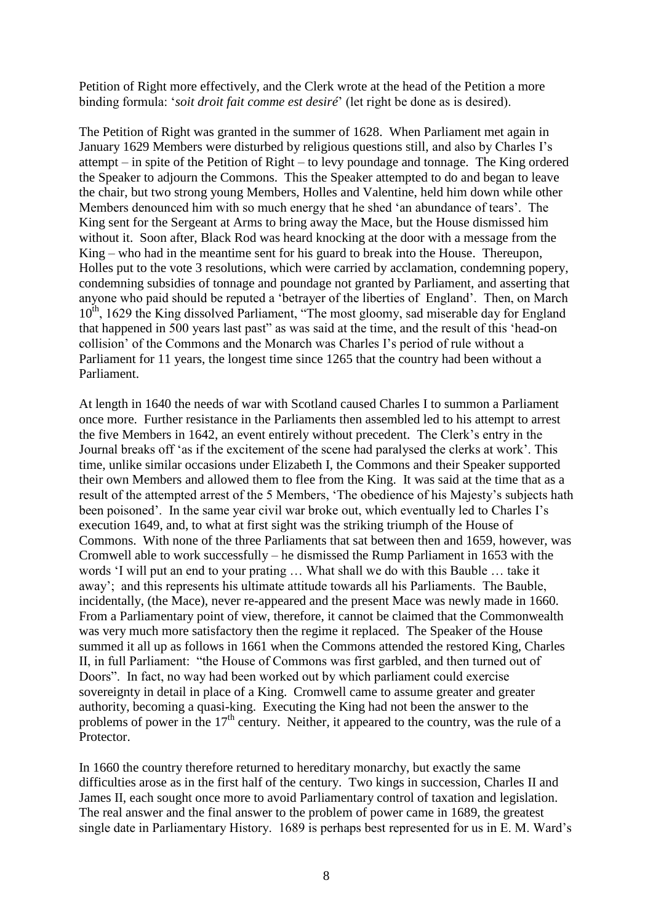Petition of Right more effectively, and the Clerk wrote at the head of the Petition a more binding formula: "*soit droit fait comme est desiré*" (let right be done as is desired).

The Petition of Right was granted in the summer of 1628. When Parliament met again in January 1629 Members were disturbed by religious questions still, and also by Charles I"s attempt – in spite of the Petition of Right – to levy poundage and tonnage. The King ordered the Speaker to adjourn the Commons. This the Speaker attempted to do and began to leave the chair, but two strong young Members, Holles and Valentine, held him down while other Members denounced him with so much energy that he shed "an abundance of tears". The King sent for the Sergeant at Arms to bring away the Mace, but the House dismissed him without it. Soon after, Black Rod was heard knocking at the door with a message from the King – who had in the meantime sent for his guard to break into the House. Thereupon, Holles put to the vote 3 resolutions, which were carried by acclamation, condemning popery, condemning subsidies of tonnage and poundage not granted by Parliament, and asserting that anyone who paid should be reputed a "betrayer of the liberties of England". Then, on March 10<sup>th</sup>, 1629 the King dissolved Parliament, "The most gloomy, sad miserable day for England that happened in 500 years last past" as was said at the time, and the result of this "head-on collision" of the Commons and the Monarch was Charles I"s period of rule without a Parliament for 11 years, the longest time since 1265 that the country had been without a Parliament.

At length in 1640 the needs of war with Scotland caused Charles I to summon a Parliament once more. Further resistance in the Parliaments then assembled led to his attempt to arrest the five Members in 1642, an event entirely without precedent. The Clerk's entry in the Journal breaks off "as if the excitement of the scene had paralysed the clerks at work". This time, unlike similar occasions under Elizabeth I, the Commons and their Speaker supported their own Members and allowed them to flee from the King. It was said at the time that as a result of the attempted arrest of the 5 Members, "The obedience of his Majesty"s subjects hath been poisoned". In the same year civil war broke out, which eventually led to Charles I"s execution 1649, and, to what at first sight was the striking triumph of the House of Commons. With none of the three Parliaments that sat between then and 1659, however, was Cromwell able to work successfully – he dismissed the Rump Parliament in 1653 with the words "I will put an end to your prating … What shall we do with this Bauble … take it away"; and this represents his ultimate attitude towards all his Parliaments. The Bauble, incidentally, (the Mace), never re-appeared and the present Mace was newly made in 1660. From a Parliamentary point of view, therefore, it cannot be claimed that the Commonwealth was very much more satisfactory then the regime it replaced. The Speaker of the House summed it all up as follows in 1661 when the Commons attended the restored King, Charles II, in full Parliament: "the House of Commons was first garbled, and then turned out of Doors". In fact, no way had been worked out by which parliament could exercise sovereignty in detail in place of a King. Cromwell came to assume greater and greater authority, becoming a quasi-king. Executing the King had not been the answer to the problems of power in the  $17<sup>th</sup>$  century. Neither, it appeared to the country, was the rule of a Protector.

In 1660 the country therefore returned to hereditary monarchy, but exactly the same difficulties arose as in the first half of the century. Two kings in succession, Charles II and James II, each sought once more to avoid Parliamentary control of taxation and legislation. The real answer and the final answer to the problem of power came in 1689, the greatest single date in Parliamentary History. 1689 is perhaps best represented for us in E. M. Ward"s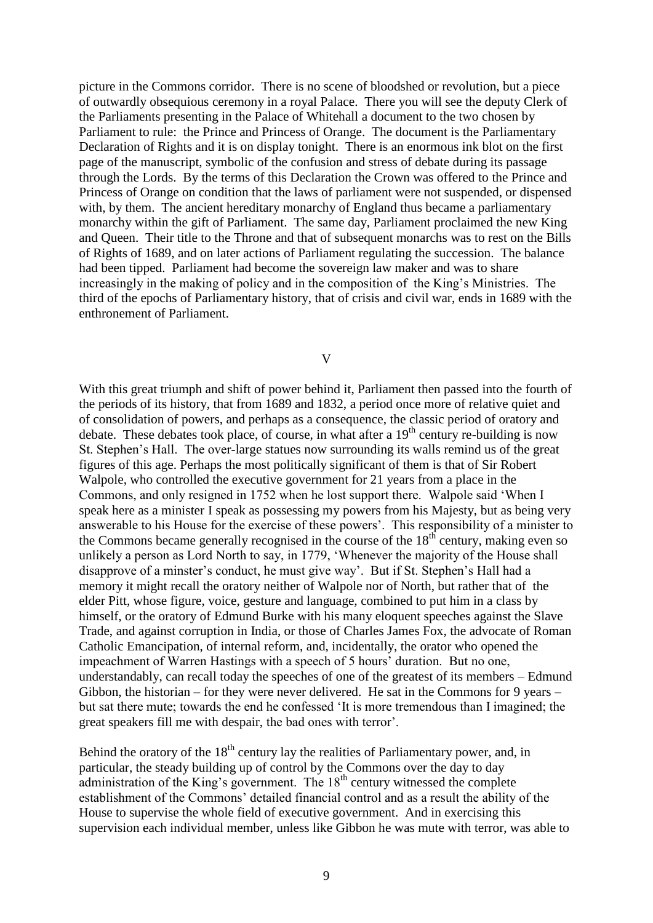picture in the Commons corridor. There is no scene of bloodshed or revolution, but a piece of outwardly obsequious ceremony in a royal Palace. There you will see the deputy Clerk of the Parliaments presenting in the Palace of Whitehall a document to the two chosen by Parliament to rule: the Prince and Princess of Orange. The document is the Parliamentary Declaration of Rights and it is on display tonight. There is an enormous ink blot on the first page of the manuscript, symbolic of the confusion and stress of debate during its passage through the Lords. By the terms of this Declaration the Crown was offered to the Prince and Princess of Orange on condition that the laws of parliament were not suspended, or dispensed with, by them. The ancient hereditary monarchy of England thus became a parliamentary monarchy within the gift of Parliament. The same day, Parliament proclaimed the new King and Queen. Their title to the Throne and that of subsequent monarchs was to rest on the Bills of Rights of 1689, and on later actions of Parliament regulating the succession. The balance had been tipped. Parliament had become the sovereign law maker and was to share increasingly in the making of policy and in the composition of the King"s Ministries. The third of the epochs of Parliamentary history, that of crisis and civil war, ends in 1689 with the enthronement of Parliament.

V

With this great triumph and shift of power behind it, Parliament then passed into the fourth of the periods of its history, that from 1689 and 1832, a period once more of relative quiet and of consolidation of powers, and perhaps as a consequence, the classic period of oratory and debate. These debates took place, of course, in what after a  $19<sup>th</sup>$  century re-building is now St. Stephen"s Hall. The over-large statues now surrounding its walls remind us of the great figures of this age. Perhaps the most politically significant of them is that of Sir Robert Walpole, who controlled the executive government for 21 years from a place in the Commons, and only resigned in 1752 when he lost support there. Walpole said "When I speak here as a minister I speak as possessing my powers from his Majesty, but as being very answerable to his House for the exercise of these powers'. This responsibility of a minister to the Commons became generally recognised in the course of the  $18<sup>th</sup>$  century, making even so unlikely a person as Lord North to say, in 1779, "Whenever the majority of the House shall disapprove of a minster's conduct, he must give way'. But if St. Stephen's Hall had a memory it might recall the oratory neither of Walpole nor of North, but rather that of the elder Pitt, whose figure, voice, gesture and language, combined to put him in a class by himself, or the oratory of Edmund Burke with his many eloquent speeches against the Slave Trade, and against corruption in India, or those of Charles James Fox, the advocate of Roman Catholic Emancipation, of internal reform, and, incidentally, the orator who opened the impeachment of Warren Hastings with a speech of 5 hours" duration. But no one, understandably, can recall today the speeches of one of the greatest of its members – Edmund Gibbon, the historian – for they were never delivered. He sat in the Commons for 9 years – but sat there mute; towards the end he confessed "It is more tremendous than I imagined; the great speakers fill me with despair, the bad ones with terror".

Behind the oratory of the  $18<sup>th</sup>$  century lay the realities of Parliamentary power, and, in particular, the steady building up of control by the Commons over the day to day administration of the King's government. The  $18<sup>th</sup>$  century witnessed the complete establishment of the Commons" detailed financial control and as a result the ability of the House to supervise the whole field of executive government. And in exercising this supervision each individual member, unless like Gibbon he was mute with terror, was able to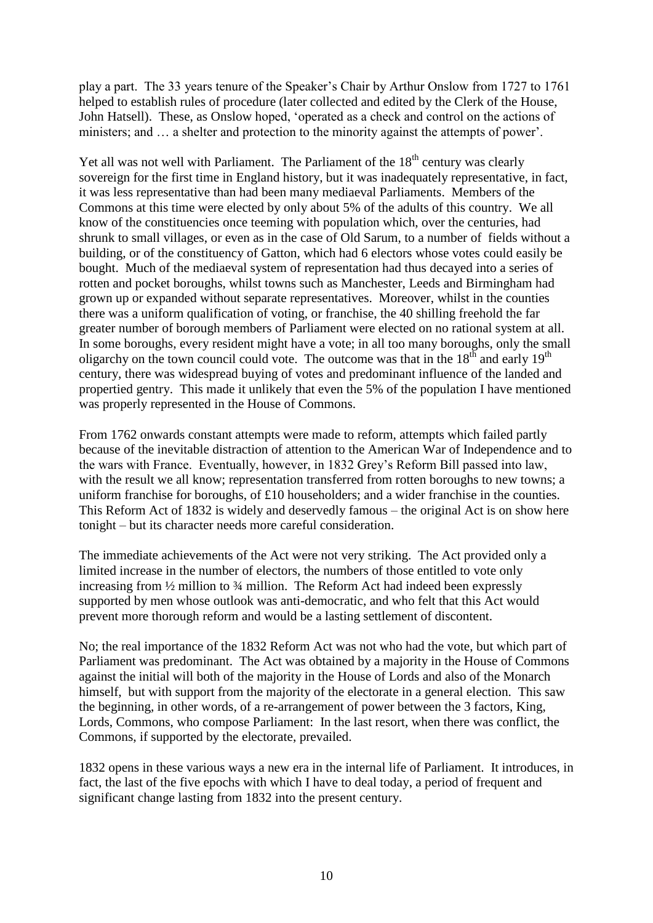play a part. The 33 years tenure of the Speaker"s Chair by Arthur Onslow from 1727 to 1761 helped to establish rules of procedure (later collected and edited by the Clerk of the House, John Hatsell). These, as Onslow hoped, "operated as a check and control on the actions of ministers; and ... a shelter and protection to the minority against the attempts of power'.

Yet all was not well with Parliament. The Parliament of the  $18<sup>th</sup>$  century was clearly sovereign for the first time in England history, but it was inadequately representative, in fact, it was less representative than had been many mediaeval Parliaments. Members of the Commons at this time were elected by only about 5% of the adults of this country. We all know of the constituencies once teeming with population which, over the centuries, had shrunk to small villages, or even as in the case of Old Sarum, to a number of fields without a building, or of the constituency of Gatton, which had 6 electors whose votes could easily be bought. Much of the mediaeval system of representation had thus decayed into a series of rotten and pocket boroughs, whilst towns such as Manchester, Leeds and Birmingham had grown up or expanded without separate representatives. Moreover, whilst in the counties there was a uniform qualification of voting, or franchise, the 40 shilling freehold the far greater number of borough members of Parliament were elected on no rational system at all. In some boroughs, every resident might have a vote; in all too many boroughs, only the small oligarchy on the town council could vote. The outcome was that in the  $18^{th}$  and early  $19^{th}$ century, there was widespread buying of votes and predominant influence of the landed and propertied gentry. This made it unlikely that even the 5% of the population I have mentioned was properly represented in the House of Commons.

From 1762 onwards constant attempts were made to reform, attempts which failed partly because of the inevitable distraction of attention to the American War of Independence and to the wars with France. Eventually, however, in 1832 Grey"s Reform Bill passed into law, with the result we all know; representation transferred from rotten boroughs to new towns; a uniform franchise for boroughs, of £10 householders; and a wider franchise in the counties. This Reform Act of 1832 is widely and deservedly famous – the original Act is on show here tonight – but its character needs more careful consideration.

The immediate achievements of the Act were not very striking. The Act provided only a limited increase in the number of electors, the numbers of those entitled to vote only increasing from ½ million to ¾ million. The Reform Act had indeed been expressly supported by men whose outlook was anti-democratic, and who felt that this Act would prevent more thorough reform and would be a lasting settlement of discontent.

No; the real importance of the 1832 Reform Act was not who had the vote, but which part of Parliament was predominant. The Act was obtained by a majority in the House of Commons against the initial will both of the majority in the House of Lords and also of the Monarch himself, but with support from the majority of the electorate in a general election. This saw the beginning, in other words, of a re-arrangement of power between the 3 factors, King, Lords, Commons, who compose Parliament: In the last resort, when there was conflict, the Commons, if supported by the electorate, prevailed.

1832 opens in these various ways a new era in the internal life of Parliament. It introduces, in fact, the last of the five epochs with which I have to deal today, a period of frequent and significant change lasting from 1832 into the present century.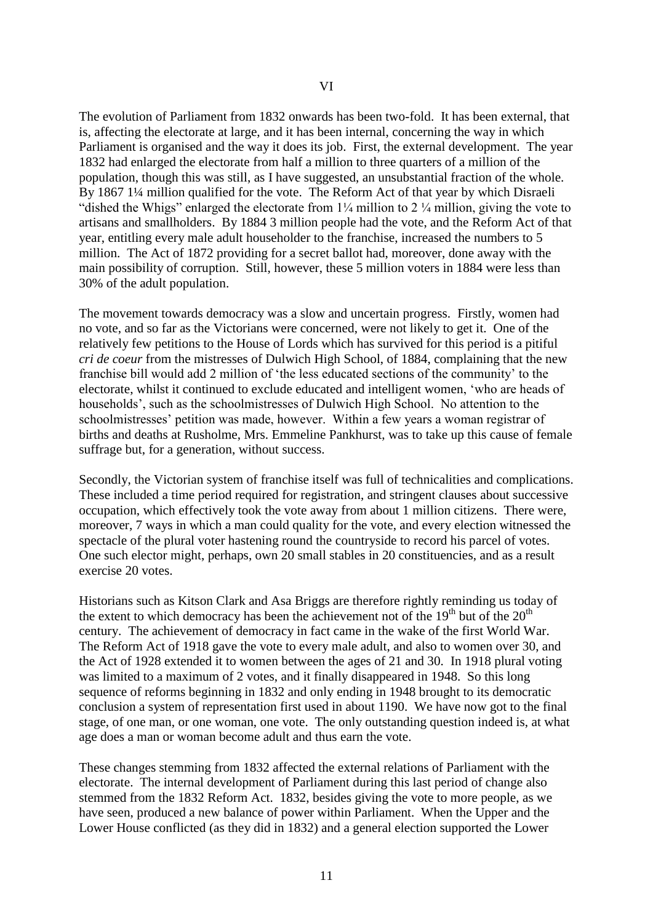The evolution of Parliament from 1832 onwards has been two-fold. It has been external, that is, affecting the electorate at large, and it has been internal, concerning the way in which Parliament is organised and the way it does its job. First, the external development. The year 1832 had enlarged the electorate from half a million to three quarters of a million of the population, though this was still, as I have suggested, an unsubstantial fraction of the whole. By 1867 1¼ million qualified for the vote. The Reform Act of that year by which Disraeli

"dished the Whigs" enlarged the electorate from  $1/4$  million to 2  $/4$  million, giving the vote to artisans and smallholders. By 1884 3 million people had the vote, and the Reform Act of that year, entitling every male adult householder to the franchise, increased the numbers to 5 million. The Act of 1872 providing for a secret ballot had, moreover, done away with the main possibility of corruption. Still, however, these 5 million voters in 1884 were less than 30% of the adult population.

The movement towards democracy was a slow and uncertain progress. Firstly, women had no vote, and so far as the Victorians were concerned, were not likely to get it. One of the relatively few petitions to the House of Lords which has survived for this period is a pitiful *cri de coeur* from the mistresses of Dulwich High School, of 1884, complaining that the new franchise bill would add 2 million of "the less educated sections of the community" to the electorate, whilst it continued to exclude educated and intelligent women, "who are heads of households", such as the schoolmistresses of Dulwich High School. No attention to the schoolmistresses" petition was made, however. Within a few years a woman registrar of births and deaths at Rusholme, Mrs. Emmeline Pankhurst, was to take up this cause of female suffrage but, for a generation, without success.

Secondly, the Victorian system of franchise itself was full of technicalities and complications. These included a time period required for registration, and stringent clauses about successive occupation, which effectively took the vote away from about 1 million citizens. There were, moreover, 7 ways in which a man could quality for the vote, and every election witnessed the spectacle of the plural voter hastening round the countryside to record his parcel of votes. One such elector might, perhaps, own 20 small stables in 20 constituencies, and as a result exercise 20 votes.

Historians such as Kitson Clark and Asa Briggs are therefore rightly reminding us today of the extent to which democracy has been the achievement not of the  $19<sup>th</sup>$  but of the  $20<sup>th</sup>$ century. The achievement of democracy in fact came in the wake of the first World War. The Reform Act of 1918 gave the vote to every male adult, and also to women over 30, and the Act of 1928 extended it to women between the ages of 21 and 30. In 1918 plural voting was limited to a maximum of 2 votes, and it finally disappeared in 1948. So this long sequence of reforms beginning in 1832 and only ending in 1948 brought to its democratic conclusion a system of representation first used in about 1190. We have now got to the final stage, of one man, or one woman, one vote. The only outstanding question indeed is, at what age does a man or woman become adult and thus earn the vote.

These changes stemming from 1832 affected the external relations of Parliament with the electorate. The internal development of Parliament during this last period of change also stemmed from the 1832 Reform Act. 1832, besides giving the vote to more people, as we have seen, produced a new balance of power within Parliament. When the Upper and the Lower House conflicted (as they did in 1832) and a general election supported the Lower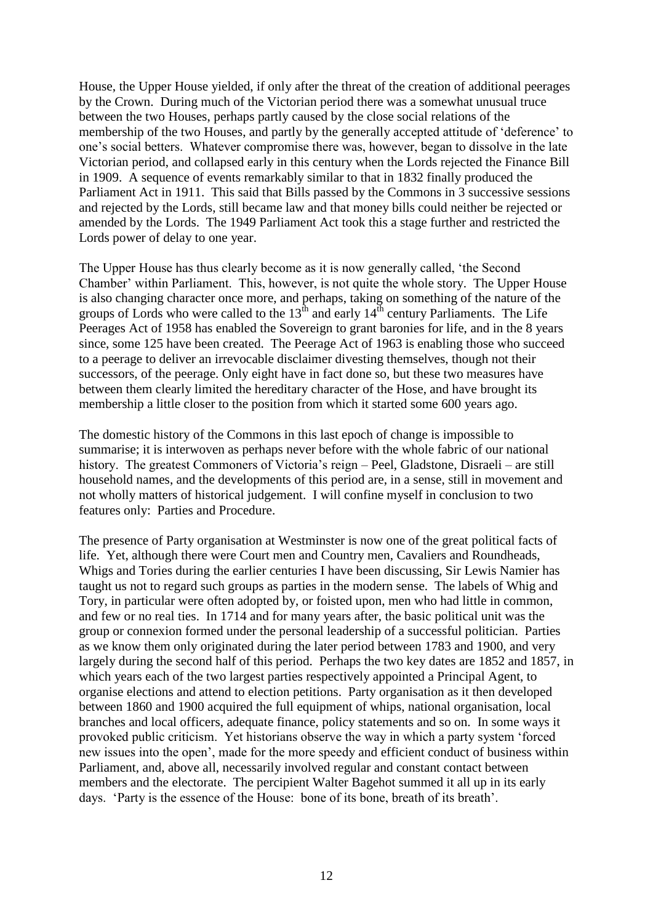House, the Upper House yielded, if only after the threat of the creation of additional peerages by the Crown. During much of the Victorian period there was a somewhat unusual truce between the two Houses, perhaps partly caused by the close social relations of the membership of the two Houses, and partly by the generally accepted attitude of "deference" to one"s social betters. Whatever compromise there was, however, began to dissolve in the late Victorian period, and collapsed early in this century when the Lords rejected the Finance Bill in 1909. A sequence of events remarkably similar to that in 1832 finally produced the Parliament Act in 1911. This said that Bills passed by the Commons in 3 successive sessions and rejected by the Lords, still became law and that money bills could neither be rejected or amended by the Lords. The 1949 Parliament Act took this a stage further and restricted the Lords power of delay to one year.

The Upper House has thus clearly become as it is now generally called, "the Second Chamber" within Parliament. This, however, is not quite the whole story. The Upper House is also changing character once more, and perhaps, taking on something of the nature of the groups of Lords who were called to the  $13<sup>th</sup>$  and early  $14<sup>th</sup>$  century Parliaments. The Life Peerages Act of 1958 has enabled the Sovereign to grant baronies for life, and in the 8 years since, some 125 have been created. The Peerage Act of 1963 is enabling those who succeed to a peerage to deliver an irrevocable disclaimer divesting themselves, though not their successors, of the peerage. Only eight have in fact done so, but these two measures have between them clearly limited the hereditary character of the Hose, and have brought its membership a little closer to the position from which it started some 600 years ago.

The domestic history of the Commons in this last epoch of change is impossible to summarise; it is interwoven as perhaps never before with the whole fabric of our national history. The greatest Commoners of Victoria's reign – Peel, Gladstone, Disraeli – are still household names, and the developments of this period are, in a sense, still in movement and not wholly matters of historical judgement. I will confine myself in conclusion to two features only: Parties and Procedure.

The presence of Party organisation at Westminster is now one of the great political facts of life. Yet, although there were Court men and Country men, Cavaliers and Roundheads, Whigs and Tories during the earlier centuries I have been discussing, Sir Lewis Namier has taught us not to regard such groups as parties in the modern sense. The labels of Whig and Tory, in particular were often adopted by, or foisted upon, men who had little in common, and few or no real ties. In 1714 and for many years after, the basic political unit was the group or connexion formed under the personal leadership of a successful politician. Parties as we know them only originated during the later period between 1783 and 1900, and very largely during the second half of this period. Perhaps the two key dates are 1852 and 1857, in which years each of the two largest parties respectively appointed a Principal Agent, to organise elections and attend to election petitions. Party organisation as it then developed between 1860 and 1900 acquired the full equipment of whips, national organisation, local branches and local officers, adequate finance, policy statements and so on. In some ways it provoked public criticism. Yet historians observe the way in which a party system "forced new issues into the open", made for the more speedy and efficient conduct of business within Parliament, and, above all, necessarily involved regular and constant contact between members and the electorate. The percipient Walter Bagehot summed it all up in its early days. 'Party is the essence of the House: bone of its bone, breath of its breath'.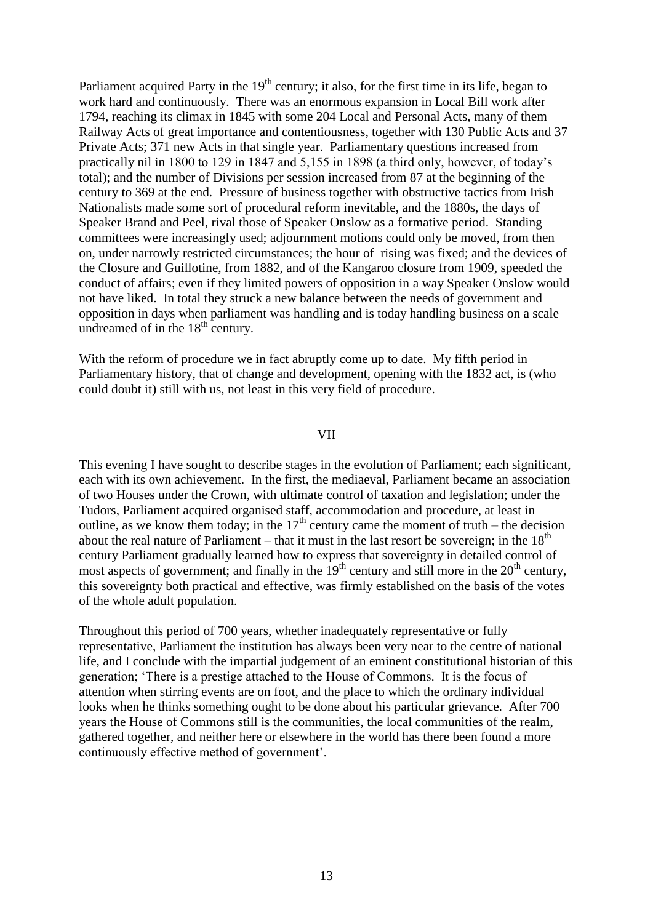Parliament acquired Party in the  $19<sup>th</sup>$  century; it also, for the first time in its life, began to work hard and continuously. There was an enormous expansion in Local Bill work after 1794, reaching its climax in 1845 with some 204 Local and Personal Acts, many of them Railway Acts of great importance and contentiousness, together with 130 Public Acts and 37 Private Acts; 371 new Acts in that single year. Parliamentary questions increased from practically nil in 1800 to 129 in 1847 and 5,155 in 1898 (a third only, however, of today"s total); and the number of Divisions per session increased from 87 at the beginning of the century to 369 at the end. Pressure of business together with obstructive tactics from Irish Nationalists made some sort of procedural reform inevitable, and the 1880s, the days of Speaker Brand and Peel, rival those of Speaker Onslow as a formative period. Standing committees were increasingly used; adjournment motions could only be moved, from then on, under narrowly restricted circumstances; the hour of rising was fixed; and the devices of the Closure and Guillotine, from 1882, and of the Kangaroo closure from 1909, speeded the conduct of affairs; even if they limited powers of opposition in a way Speaker Onslow would not have liked. In total they struck a new balance between the needs of government and opposition in days when parliament was handling and is today handling business on a scale undreamed of in the  $18<sup>th</sup>$  century.

With the reform of procedure we in fact abruptly come up to date. My fifth period in Parliamentary history, that of change and development, opening with the 1832 act, is (who could doubt it) still with us, not least in this very field of procedure.

#### VII

This evening I have sought to describe stages in the evolution of Parliament; each significant, each with its own achievement. In the first, the mediaeval, Parliament became an association of two Houses under the Crown, with ultimate control of taxation and legislation; under the Tudors, Parliament acquired organised staff, accommodation and procedure, at least in outline, as we know them today; in the  $17<sup>th</sup>$  century came the moment of truth – the decision about the real nature of Parliament – that it must in the last resort be sovereign; in the  $18<sup>th</sup>$ century Parliament gradually learned how to express that sovereignty in detailed control of most aspects of government; and finally in the  $19<sup>th</sup>$  century and still more in the  $20<sup>th</sup>$  century, this sovereignty both practical and effective, was firmly established on the basis of the votes of the whole adult population.

Throughout this period of 700 years, whether inadequately representative or fully representative, Parliament the institution has always been very near to the centre of national life, and I conclude with the impartial judgement of an eminent constitutional historian of this generation; "There is a prestige attached to the House of Commons. It is the focus of attention when stirring events are on foot, and the place to which the ordinary individual looks when he thinks something ought to be done about his particular grievance. After 700 years the House of Commons still is the communities, the local communities of the realm, gathered together, and neither here or elsewhere in the world has there been found a more continuously effective method of government".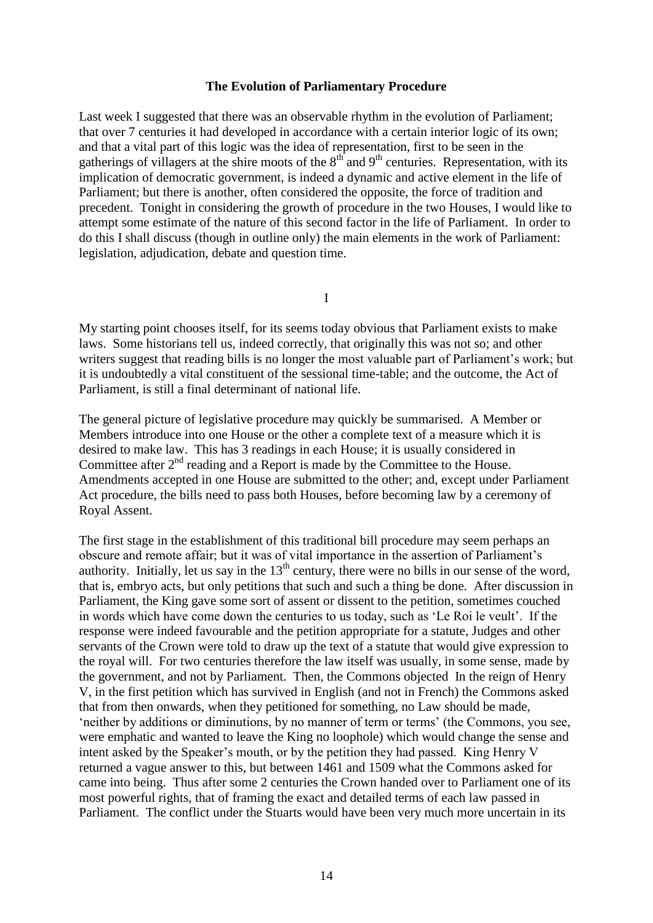# **The Evolution of Parliamentary Procedure**

Last week I suggested that there was an observable rhythm in the evolution of Parliament: that over 7 centuries it had developed in accordance with a certain interior logic of its own; and that a vital part of this logic was the idea of representation, first to be seen in the gatherings of villagers at the shire moots of the  $8<sup>th</sup>$  and  $9<sup>th</sup>$  centuries. Representation, with its implication of democratic government, is indeed a dynamic and active element in the life of Parliament; but there is another, often considered the opposite, the force of tradition and precedent. Tonight in considering the growth of procedure in the two Houses, I would like to attempt some estimate of the nature of this second factor in the life of Parliament. In order to do this I shall discuss (though in outline only) the main elements in the work of Parliament: legislation, adjudication, debate and question time.

I

My starting point chooses itself, for its seems today obvious that Parliament exists to make laws. Some historians tell us, indeed correctly, that originally this was not so; and other writers suggest that reading bills is no longer the most valuable part of Parliament's work; but it is undoubtedly a vital constituent of the sessional time-table; and the outcome, the Act of Parliament, is still a final determinant of national life.

The general picture of legislative procedure may quickly be summarised. A Member or Members introduce into one House or the other a complete text of a measure which it is desired to make law. This has 3 readings in each House; it is usually considered in Committee after  $2<sup>nd</sup>$  reading and a Report is made by the Committee to the House. Amendments accepted in one House are submitted to the other; and, except under Parliament Act procedure, the bills need to pass both Houses, before becoming law by a ceremony of Royal Assent.

The first stage in the establishment of this traditional bill procedure may seem perhaps an obscure and remote affair; but it was of vital importance in the assertion of Parliament"s authority. Initially, let us say in the  $13<sup>th</sup>$  century, there were no bills in our sense of the word, that is, embryo acts, but only petitions that such and such a thing be done. After discussion in Parliament, the King gave some sort of assent or dissent to the petition, sometimes couched in words which have come down the centuries to us today, such as "Le Roi le veult". If the response were indeed favourable and the petition appropriate for a statute, Judges and other servants of the Crown were told to draw up the text of a statute that would give expression to the royal will. For two centuries therefore the law itself was usually, in some sense, made by the government, and not by Parliament. Then, the Commons objected In the reign of Henry V, in the first petition which has survived in English (and not in French) the Commons asked that from then onwards, when they petitioned for something, no Law should be made, 'neither by additions or diminutions, by no manner of term or terms' (the Commons, you see, were emphatic and wanted to leave the King no loophole) which would change the sense and intent asked by the Speaker"s mouth, or by the petition they had passed. King Henry V returned a vague answer to this, but between 1461 and 1509 what the Commons asked for came into being. Thus after some 2 centuries the Crown handed over to Parliament one of its most powerful rights, that of framing the exact and detailed terms of each law passed in Parliament. The conflict under the Stuarts would have been very much more uncertain in its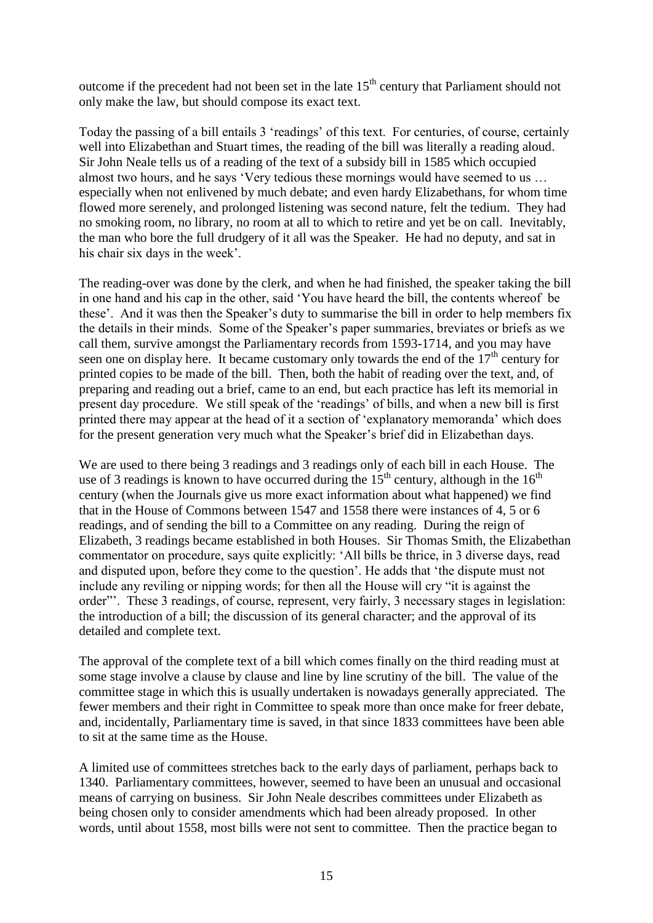outcome if the precedent had not been set in the late  $15<sup>th</sup>$  century that Parliament should not only make the law, but should compose its exact text.

Today the passing of a bill entails 3 "readings" of this text. For centuries, of course, certainly well into Elizabethan and Stuart times, the reading of the bill was literally a reading aloud. Sir John Neale tells us of a reading of the text of a subsidy bill in 1585 which occupied almost two hours, and he says "Very tedious these mornings would have seemed to us … especially when not enlivened by much debate; and even hardy Elizabethans, for whom time flowed more serenely, and prolonged listening was second nature, felt the tedium. They had no smoking room, no library, no room at all to which to retire and yet be on call. Inevitably, the man who bore the full drudgery of it all was the Speaker. He had no deputy, and sat in his chair six days in the week'.

The reading-over was done by the clerk, and when he had finished, the speaker taking the bill in one hand and his cap in the other, said "You have heard the bill, the contents whereof be these". And it was then the Speaker"s duty to summarise the bill in order to help members fix the details in their minds. Some of the Speaker"s paper summaries, breviates or briefs as we call them, survive amongst the Parliamentary records from 1593-1714, and you may have seen one on display here. It became customary only towards the end of the  $17<sup>th</sup>$  century for printed copies to be made of the bill. Then, both the habit of reading over the text, and, of preparing and reading out a brief, came to an end, but each practice has left its memorial in present day procedure. We still speak of the "readings" of bills, and when a new bill is first printed there may appear at the head of it a section of "explanatory memoranda" which does for the present generation very much what the Speaker"s brief did in Elizabethan days.

We are used to there being 3 readings and 3 readings only of each bill in each House. The use of 3 readings is known to have occurred during the  $15<sup>th</sup>$  century, although in the  $16<sup>th</sup>$ century (when the Journals give us more exact information about what happened) we find that in the House of Commons between 1547 and 1558 there were instances of 4, 5 or 6 readings, and of sending the bill to a Committee on any reading. During the reign of Elizabeth, 3 readings became established in both Houses. Sir Thomas Smith, the Elizabethan commentator on procedure, says quite explicitly: "All bills be thrice, in 3 diverse days, read and disputed upon, before they come to the question". He adds that "the dispute must not include any reviling or nipping words; for then all the House will cry "it is against the order"". These 3 readings, of course, represent, very fairly, 3 necessary stages in legislation: the introduction of a bill; the discussion of its general character; and the approval of its detailed and complete text.

The approval of the complete text of a bill which comes finally on the third reading must at some stage involve a clause by clause and line by line scrutiny of the bill. The value of the committee stage in which this is usually undertaken is nowadays generally appreciated. The fewer members and their right in Committee to speak more than once make for freer debate, and, incidentally, Parliamentary time is saved, in that since 1833 committees have been able to sit at the same time as the House.

A limited use of committees stretches back to the early days of parliament, perhaps back to 1340. Parliamentary committees, however, seemed to have been an unusual and occasional means of carrying on business. Sir John Neale describes committees under Elizabeth as being chosen only to consider amendments which had been already proposed. In other words, until about 1558, most bills were not sent to committee. Then the practice began to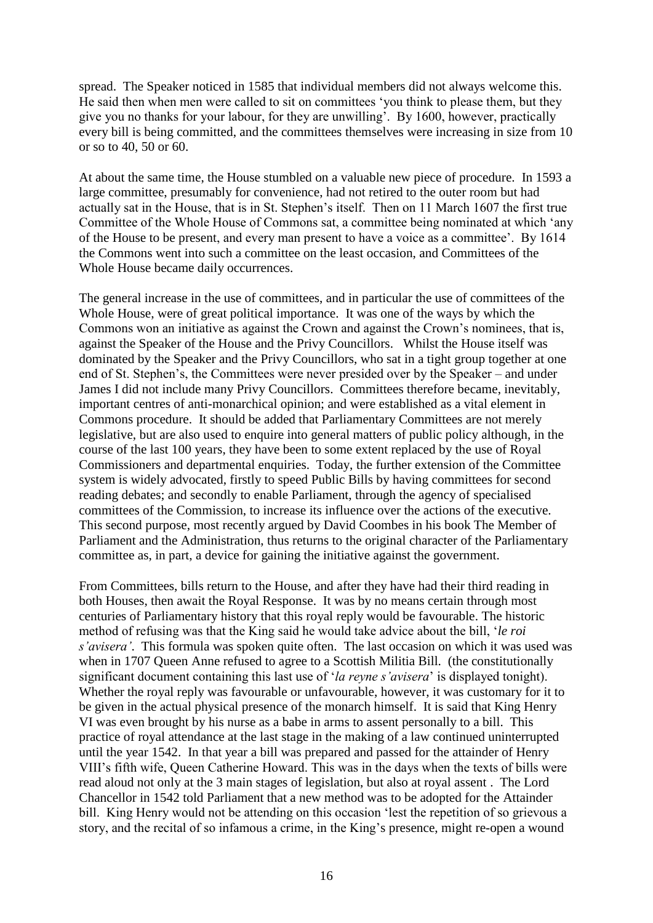spread. The Speaker noticed in 1585 that individual members did not always welcome this. He said then when men were called to sit on committees "you think to please them, but they give you no thanks for your labour, for they are unwilling". By 1600, however, practically every bill is being committed, and the committees themselves were increasing in size from 10 or so to 40, 50 or 60.

At about the same time, the House stumbled on a valuable new piece of procedure. In 1593 a large committee, presumably for convenience, had not retired to the outer room but had actually sat in the House, that is in St. Stephen"s itself. Then on 11 March 1607 the first true Committee of the Whole House of Commons sat, a committee being nominated at which "any of the House to be present, and every man present to have a voice as a committee". By 1614 the Commons went into such a committee on the least occasion, and Committees of the Whole House became daily occurrences.

The general increase in the use of committees, and in particular the use of committees of the Whole House, were of great political importance. It was one of the ways by which the Commons won an initiative as against the Crown and against the Crown"s nominees, that is, against the Speaker of the House and the Privy Councillors. Whilst the House itself was dominated by the Speaker and the Privy Councillors, who sat in a tight group together at one end of St. Stephen"s, the Committees were never presided over by the Speaker – and under James I did not include many Privy Councillors. Committees therefore became, inevitably, important centres of anti-monarchical opinion; and were established as a vital element in Commons procedure. It should be added that Parliamentary Committees are not merely legislative, but are also used to enquire into general matters of public policy although, in the course of the last 100 years, they have been to some extent replaced by the use of Royal Commissioners and departmental enquiries. Today, the further extension of the Committee system is widely advocated, firstly to speed Public Bills by having committees for second reading debates; and secondly to enable Parliament, through the agency of specialised committees of the Commission, to increase its influence over the actions of the executive. This second purpose, most recently argued by David Coombes in his book The Member of Parliament and the Administration, thus returns to the original character of the Parliamentary committee as, in part, a device for gaining the initiative against the government.

From Committees, bills return to the House, and after they have had their third reading in both Houses, then await the Royal Response. It was by no means certain through most centuries of Parliamentary history that this royal reply would be favourable. The historic method of refusing was that the King said he would take advice about the bill, "*le roi s'avisera'*. This formula was spoken quite often. The last occasion on which it was used was when in 1707 Queen Anne refused to agree to a Scottish Militia Bill. (the constitutionally significant document containing this last use of "*la reyne s'avisera*" is displayed tonight). Whether the royal reply was favourable or unfavourable, however, it was customary for it to be given in the actual physical presence of the monarch himself. It is said that King Henry VI was even brought by his nurse as a babe in arms to assent personally to a bill. This practice of royal attendance at the last stage in the making of a law continued uninterrupted until the year 1542. In that year a bill was prepared and passed for the attainder of Henry VIII"s fifth wife, Queen Catherine Howard. This was in the days when the texts of bills were read aloud not only at the 3 main stages of legislation, but also at royal assent . The Lord Chancellor in 1542 told Parliament that a new method was to be adopted for the Attainder bill. King Henry would not be attending on this occasion "lest the repetition of so grievous a story, and the recital of so infamous a crime, in the King's presence, might re-open a wound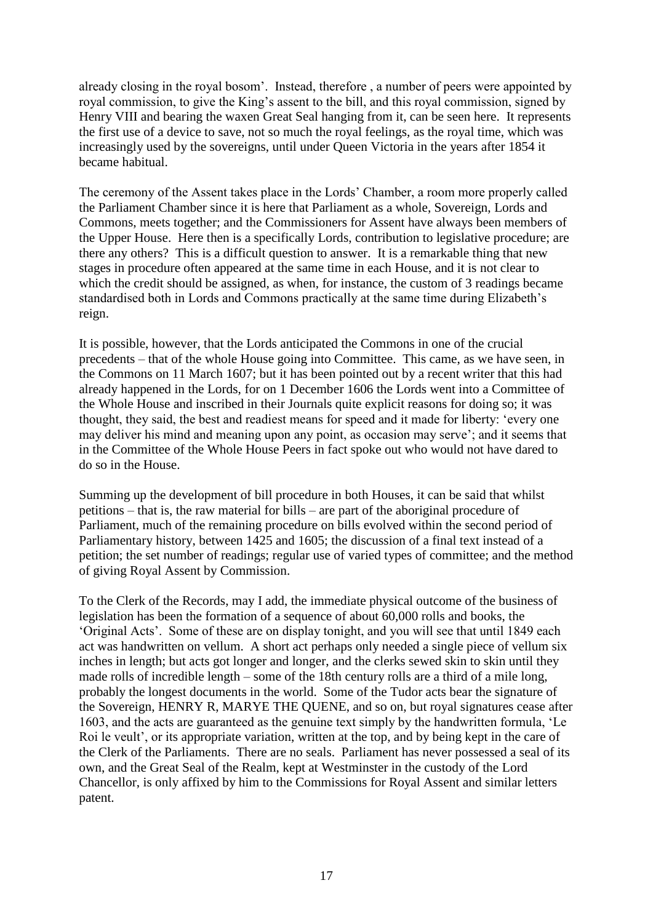already closing in the royal bosom". Instead, therefore , a number of peers were appointed by royal commission, to give the King's assent to the bill, and this royal commission, signed by Henry VIII and bearing the waxen Great Seal hanging from it, can be seen here. It represents the first use of a device to save, not so much the royal feelings, as the royal time, which was increasingly used by the sovereigns, until under Queen Victoria in the years after 1854 it became habitual.

The ceremony of the Assent takes place in the Lords" Chamber, a room more properly called the Parliament Chamber since it is here that Parliament as a whole, Sovereign, Lords and Commons, meets together; and the Commissioners for Assent have always been members of the Upper House. Here then is a specifically Lords, contribution to legislative procedure; are there any others? This is a difficult question to answer. It is a remarkable thing that new stages in procedure often appeared at the same time in each House, and it is not clear to which the credit should be assigned, as when, for instance, the custom of 3 readings became standardised both in Lords and Commons practically at the same time during Elizabeth"s reign.

It is possible, however, that the Lords anticipated the Commons in one of the crucial precedents – that of the whole House going into Committee. This came, as we have seen, in the Commons on 11 March 1607; but it has been pointed out by a recent writer that this had already happened in the Lords, for on 1 December 1606 the Lords went into a Committee of the Whole House and inscribed in their Journals quite explicit reasons for doing so; it was thought, they said, the best and readiest means for speed and it made for liberty: "every one may deliver his mind and meaning upon any point, as occasion may serve"; and it seems that in the Committee of the Whole House Peers in fact spoke out who would not have dared to do so in the House.

Summing up the development of bill procedure in both Houses, it can be said that whilst petitions – that is, the raw material for bills – are part of the aboriginal procedure of Parliament, much of the remaining procedure on bills evolved within the second period of Parliamentary history, between 1425 and 1605; the discussion of a final text instead of a petition; the set number of readings; regular use of varied types of committee; and the method of giving Royal Assent by Commission.

To the Clerk of the Records, may I add, the immediate physical outcome of the business of legislation has been the formation of a sequence of about 60,000 rolls and books, the "Original Acts". Some of these are on display tonight, and you will see that until 1849 each act was handwritten on vellum. A short act perhaps only needed a single piece of vellum six inches in length; but acts got longer and longer, and the clerks sewed skin to skin until they made rolls of incredible length – some of the 18th century rolls are a third of a mile long, probably the longest documents in the world. Some of the Tudor acts bear the signature of the Sovereign, HENRY R, MARYE THE QUENE, and so on, but royal signatures cease after 1603, and the acts are guaranteed as the genuine text simply by the handwritten formula, "Le Roi le veult', or its appropriate variation, written at the top, and by being kept in the care of the Clerk of the Parliaments. There are no seals. Parliament has never possessed a seal of its own, and the Great Seal of the Realm, kept at Westminster in the custody of the Lord Chancellor, is only affixed by him to the Commissions for Royal Assent and similar letters patent.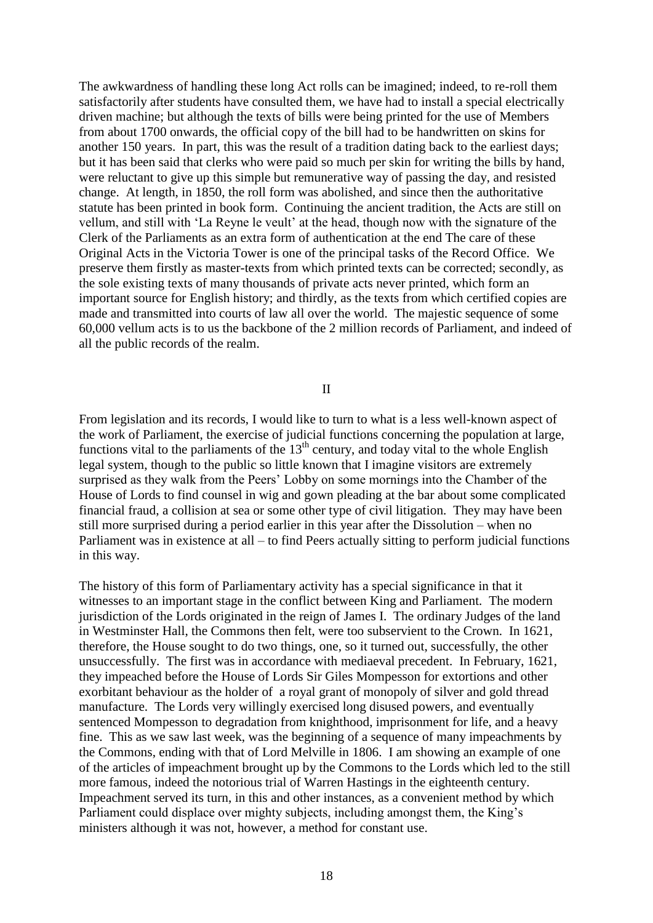The awkwardness of handling these long Act rolls can be imagined; indeed, to re-roll them satisfactorily after students have consulted them, we have had to install a special electrically driven machine; but although the texts of bills were being printed for the use of Members from about 1700 onwards, the official copy of the bill had to be handwritten on skins for another 150 years. In part, this was the result of a tradition dating back to the earliest days; but it has been said that clerks who were paid so much per skin for writing the bills by hand, were reluctant to give up this simple but remunerative way of passing the day, and resisted change. At length, in 1850, the roll form was abolished, and since then the authoritative statute has been printed in book form. Continuing the ancient tradition, the Acts are still on vellum, and still with "La Reyne le veult" at the head, though now with the signature of the Clerk of the Parliaments as an extra form of authentication at the end The care of these Original Acts in the Victoria Tower is one of the principal tasks of the Record Office. We preserve them firstly as master-texts from which printed texts can be corrected; secondly, as the sole existing texts of many thousands of private acts never printed, which form an important source for English history; and thirdly, as the texts from which certified copies are made and transmitted into courts of law all over the world. The majestic sequence of some 60,000 vellum acts is to us the backbone of the 2 million records of Parliament, and indeed of all the public records of the realm.

II

From legislation and its records, I would like to turn to what is a less well-known aspect of the work of Parliament, the exercise of judicial functions concerning the population at large, functions vital to the parliaments of the  $13<sup>th</sup>$  century, and today vital to the whole English legal system, though to the public so little known that I imagine visitors are extremely surprised as they walk from the Peers" Lobby on some mornings into the Chamber of the House of Lords to find counsel in wig and gown pleading at the bar about some complicated financial fraud, a collision at sea or some other type of civil litigation. They may have been still more surprised during a period earlier in this year after the Dissolution – when no Parliament was in existence at all – to find Peers actually sitting to perform judicial functions in this way.

The history of this form of Parliamentary activity has a special significance in that it witnesses to an important stage in the conflict between King and Parliament. The modern jurisdiction of the Lords originated in the reign of James I. The ordinary Judges of the land in Westminster Hall, the Commons then felt, were too subservient to the Crown. In 1621, therefore, the House sought to do two things, one, so it turned out, successfully, the other unsuccessfully. The first was in accordance with mediaeval precedent. In February, 1621, they impeached before the House of Lords Sir Giles Mompesson for extortions and other exorbitant behaviour as the holder of a royal grant of monopoly of silver and gold thread manufacture. The Lords very willingly exercised long disused powers, and eventually sentenced Mompesson to degradation from knighthood, imprisonment for life, and a heavy fine. This as we saw last week, was the beginning of a sequence of many impeachments by the Commons, ending with that of Lord Melville in 1806. I am showing an example of one of the articles of impeachment brought up by the Commons to the Lords which led to the still more famous, indeed the notorious trial of Warren Hastings in the eighteenth century. Impeachment served its turn, in this and other instances, as a convenient method by which Parliament could displace over mighty subjects, including amongst them, the King's ministers although it was not, however, a method for constant use.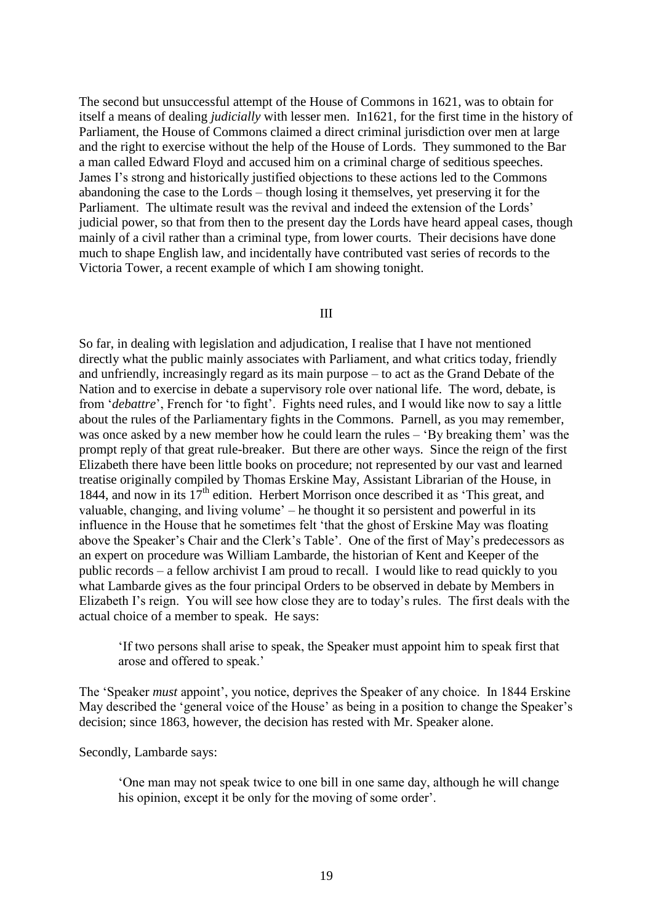The second but unsuccessful attempt of the House of Commons in 1621, was to obtain for itself a means of dealing *judicially* with lesser men. In1621, for the first time in the history of Parliament, the House of Commons claimed a direct criminal jurisdiction over men at large and the right to exercise without the help of the House of Lords. They summoned to the Bar a man called Edward Floyd and accused him on a criminal charge of seditious speeches. James I"s strong and historically justified objections to these actions led to the Commons abandoning the case to the Lords – though losing it themselves, yet preserving it for the Parliament. The ultimate result was the revival and indeed the extension of the Lords' judicial power, so that from then to the present day the Lords have heard appeal cases, though mainly of a civil rather than a criminal type, from lower courts. Their decisions have done much to shape English law, and incidentally have contributed vast series of records to the Victoria Tower, a recent example of which I am showing tonight.

## III

So far, in dealing with legislation and adjudication, I realise that I have not mentioned directly what the public mainly associates with Parliament, and what critics today, friendly and unfriendly, increasingly regard as its main purpose – to act as the Grand Debate of the Nation and to exercise in debate a supervisory role over national life. The word, debate, is from "*debattre*", French for "to fight". Fights need rules, and I would like now to say a little about the rules of the Parliamentary fights in the Commons. Parnell, as you may remember, was once asked by a new member how he could learn the rules – "By breaking them" was the prompt reply of that great rule-breaker. But there are other ways. Since the reign of the first Elizabeth there have been little books on procedure; not represented by our vast and learned treatise originally compiled by Thomas Erskine May, Assistant Librarian of the House, in 1844, and now in its  $17<sup>th</sup>$  edition. Herbert Morrison once described it as 'This great, and valuable, changing, and living volume' – he thought it so persistent and powerful in its influence in the House that he sometimes felt "that the ghost of Erskine May was floating above the Speaker's Chair and the Clerk's Table'. One of the first of May's predecessors as an expert on procedure was William Lambarde, the historian of Kent and Keeper of the public records – a fellow archivist I am proud to recall. I would like to read quickly to you what Lambarde gives as the four principal Orders to be observed in debate by Members in Elizabeth I's reign. You will see how close they are to today's rules. The first deals with the actual choice of a member to speak. He says:

"If two persons shall arise to speak, the Speaker must appoint him to speak first that arose and offered to speak."

The "Speaker *must* appoint", you notice, deprives the Speaker of any choice. In 1844 Erskine May described the 'general voice of the House' as being in a position to change the Speaker's decision; since 1863, however, the decision has rested with Mr. Speaker alone.

Secondly, Lambarde says:

"One man may not speak twice to one bill in one same day, although he will change his opinion, except it be only for the moving of some order'.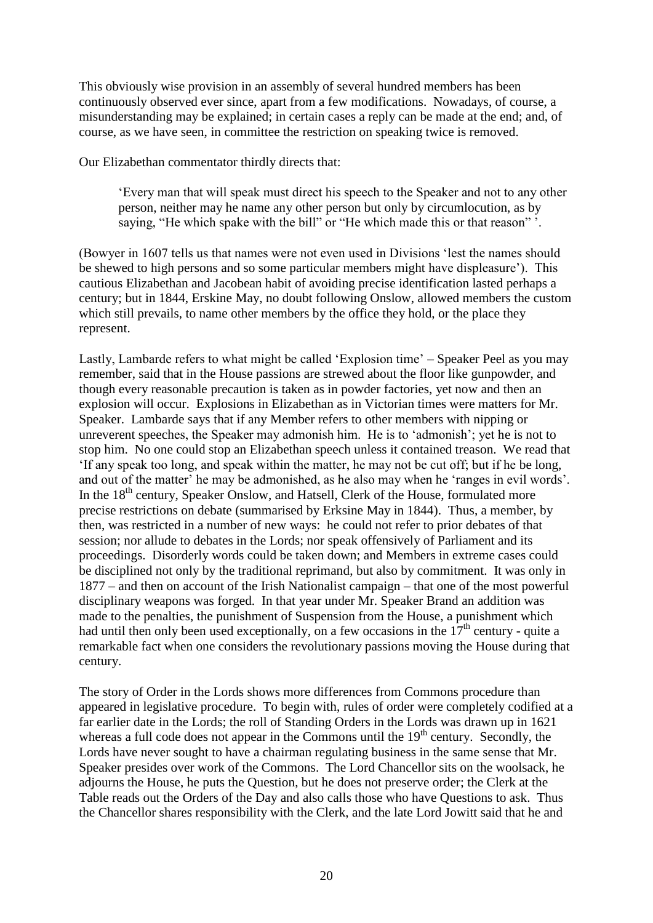This obviously wise provision in an assembly of several hundred members has been continuously observed ever since, apart from a few modifications. Nowadays, of course, a misunderstanding may be explained; in certain cases a reply can be made at the end; and, of course, as we have seen, in committee the restriction on speaking twice is removed.

Our Elizabethan commentator thirdly directs that:

"Every man that will speak must direct his speech to the Speaker and not to any other person, neither may he name any other person but only by circumlocution, as by saying, "He which spake with the bill" or "He which made this or that reason"".

(Bowyer in 1607 tells us that names were not even used in Divisions "lest the names should be shewed to high persons and so some particular members might have displeasure"). This cautious Elizabethan and Jacobean habit of avoiding precise identification lasted perhaps a century; but in 1844, Erskine May, no doubt following Onslow, allowed members the custom which still prevails, to name other members by the office they hold, or the place they represent.

Lastly, Lambarde refers to what might be called 'Explosion time' – Speaker Peel as you may remember, said that in the House passions are strewed about the floor like gunpowder, and though every reasonable precaution is taken as in powder factories, yet now and then an explosion will occur. Explosions in Elizabethan as in Victorian times were matters for Mr. Speaker. Lambarde says that if any Member refers to other members with nipping or unreverent speeches, the Speaker may admonish him. He is to "admonish"; yet he is not to stop him. No one could stop an Elizabethan speech unless it contained treason. We read that "If any speak too long, and speak within the matter, he may not be cut off; but if he be long, and out of the matter' he may be admonished, as he also may when he 'ranges in evil words'. In the  $18<sup>th</sup>$  century, Speaker Onslow, and Hatsell, Clerk of the House, formulated more precise restrictions on debate (summarised by Erksine May in 1844). Thus, a member, by then, was restricted in a number of new ways: he could not refer to prior debates of that session; nor allude to debates in the Lords; nor speak offensively of Parliament and its proceedings. Disorderly words could be taken down; and Members in extreme cases could be disciplined not only by the traditional reprimand, but also by commitment. It was only in 1877 – and then on account of the Irish Nationalist campaign – that one of the most powerful disciplinary weapons was forged. In that year under Mr. Speaker Brand an addition was made to the penalties, the punishment of Suspension from the House, a punishment which had until then only been used exceptionally, on a few occasions in the  $17<sup>th</sup>$  century - quite a remarkable fact when one considers the revolutionary passions moving the House during that century.

The story of Order in the Lords shows more differences from Commons procedure than appeared in legislative procedure. To begin with, rules of order were completely codified at a far earlier date in the Lords; the roll of Standing Orders in the Lords was drawn up in 1621 whereas a full code does not appear in the Commons until the  $19<sup>th</sup>$  century. Secondly, the Lords have never sought to have a chairman regulating business in the same sense that Mr. Speaker presides over work of the Commons. The Lord Chancellor sits on the woolsack, he adjourns the House, he puts the Question, but he does not preserve order; the Clerk at the Table reads out the Orders of the Day and also calls those who have Questions to ask. Thus the Chancellor shares responsibility with the Clerk, and the late Lord Jowitt said that he and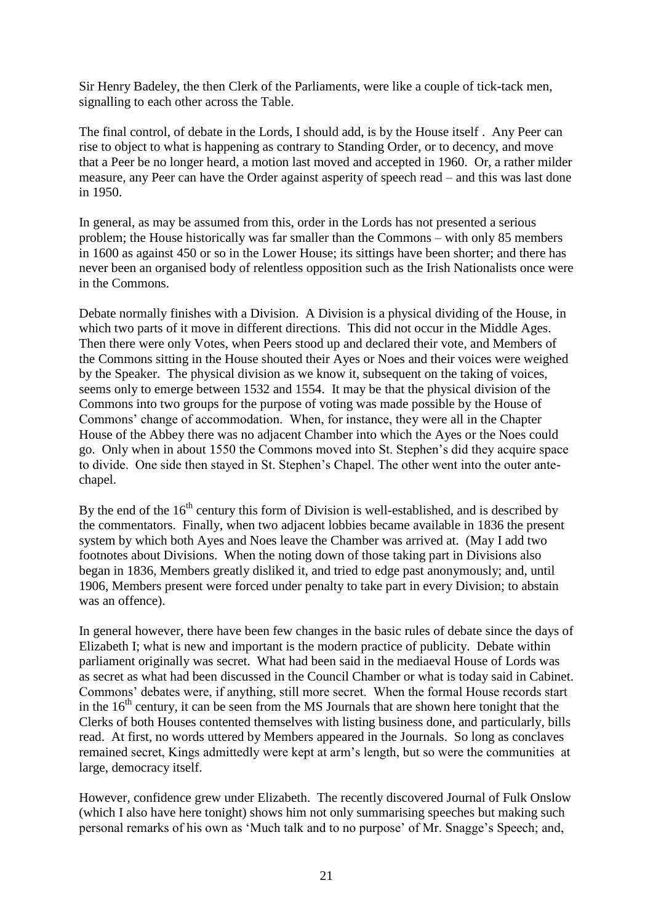Sir Henry Badeley, the then Clerk of the Parliaments, were like a couple of tick-tack men, signalling to each other across the Table.

The final control, of debate in the Lords, I should add, is by the House itself . Any Peer can rise to object to what is happening as contrary to Standing Order, or to decency, and move that a Peer be no longer heard, a motion last moved and accepted in 1960. Or, a rather milder measure, any Peer can have the Order against asperity of speech read – and this was last done in 1950.

In general, as may be assumed from this, order in the Lords has not presented a serious problem; the House historically was far smaller than the Commons – with only 85 members in 1600 as against 450 or so in the Lower House; its sittings have been shorter; and there has never been an organised body of relentless opposition such as the Irish Nationalists once were in the Commons.

Debate normally finishes with a Division. A Division is a physical dividing of the House, in which two parts of it move in different directions. This did not occur in the Middle Ages. Then there were only Votes, when Peers stood up and declared their vote, and Members of the Commons sitting in the House shouted their Ayes or Noes and their voices were weighed by the Speaker. The physical division as we know it, subsequent on the taking of voices, seems only to emerge between 1532 and 1554. It may be that the physical division of the Commons into two groups for the purpose of voting was made possible by the House of Commons" change of accommodation. When, for instance, they were all in the Chapter House of the Abbey there was no adjacent Chamber into which the Ayes or the Noes could go. Only when in about 1550 the Commons moved into St. Stephen"s did they acquire space to divide. One side then stayed in St. Stephen"s Chapel. The other went into the outer antechapel.

By the end of the  $16<sup>th</sup>$  century this form of Division is well-established, and is described by the commentators. Finally, when two adjacent lobbies became available in 1836 the present system by which both Ayes and Noes leave the Chamber was arrived at. (May I add two footnotes about Divisions. When the noting down of those taking part in Divisions also began in 1836, Members greatly disliked it, and tried to edge past anonymously; and, until 1906, Members present were forced under penalty to take part in every Division; to abstain was an offence).

In general however, there have been few changes in the basic rules of debate since the days of Elizabeth I; what is new and important is the modern practice of publicity. Debate within parliament originally was secret. What had been said in the mediaeval House of Lords was as secret as what had been discussed in the Council Chamber or what is today said in Cabinet. Commons" debates were, if anything, still more secret. When the formal House records start in the  $16<sup>th</sup>$  century, it can be seen from the MS Journals that are shown here tonight that the Clerks of both Houses contented themselves with listing business done, and particularly, bills read. At first, no words uttered by Members appeared in the Journals. So long as conclaves remained secret, Kings admittedly were kept at arm"s length, but so were the communities at large, democracy itself.

However, confidence grew under Elizabeth. The recently discovered Journal of Fulk Onslow (which I also have here tonight) shows him not only summarising speeches but making such personal remarks of his own as "Much talk and to no purpose" of Mr. Snagge"s Speech; and,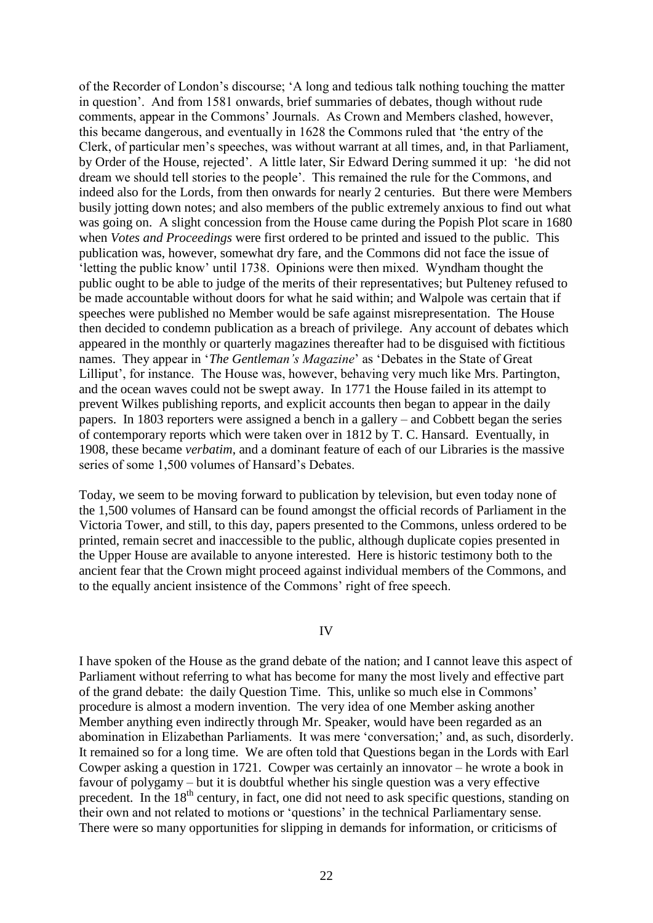of the Recorder of London"s discourse; "A long and tedious talk nothing touching the matter in question". And from 1581 onwards, brief summaries of debates, though without rude comments, appear in the Commons" Journals. As Crown and Members clashed, however, this became dangerous, and eventually in 1628 the Commons ruled that "the entry of the Clerk, of particular men"s speeches, was without warrant at all times, and, in that Parliament, by Order of the House, rejected". A little later, Sir Edward Dering summed it up: "he did not dream we should tell stories to the people". This remained the rule for the Commons, and indeed also for the Lords, from then onwards for nearly 2 centuries. But there were Members busily jotting down notes; and also members of the public extremely anxious to find out what was going on. A slight concession from the House came during the Popish Plot scare in 1680 when *Votes and Proceedings* were first ordered to be printed and issued to the public. This publication was, however, somewhat dry fare, and the Commons did not face the issue of "letting the public know" until 1738. Opinions were then mixed. Wyndham thought the public ought to be able to judge of the merits of their representatives; but Pulteney refused to be made accountable without doors for what he said within; and Walpole was certain that if speeches were published no Member would be safe against misrepresentation. The House then decided to condemn publication as a breach of privilege. Any account of debates which appeared in the monthly or quarterly magazines thereafter had to be disguised with fictitious names. They appear in '*The Gentleman's Magazine*' as 'Debates in the State of Great Lilliput', for instance. The House was, however, behaving very much like Mrs. Partington, and the ocean waves could not be swept away. In 1771 the House failed in its attempt to prevent Wilkes publishing reports, and explicit accounts then began to appear in the daily papers. In 1803 reporters were assigned a bench in a gallery – and Cobbett began the series of contemporary reports which were taken over in 1812 by T. C. Hansard. Eventually, in 1908, these became *verbatim*, and a dominant feature of each of our Libraries is the massive series of some 1,500 volumes of Hansard's Debates.

Today, we seem to be moving forward to publication by television, but even today none of the 1,500 volumes of Hansard can be found amongst the official records of Parliament in the Victoria Tower, and still, to this day, papers presented to the Commons, unless ordered to be printed, remain secret and inaccessible to the public, although duplicate copies presented in the Upper House are available to anyone interested. Here is historic testimony both to the ancient fear that the Crown might proceed against individual members of the Commons, and to the equally ancient insistence of the Commons" right of free speech.

### IV

I have spoken of the House as the grand debate of the nation; and I cannot leave this aspect of Parliament without referring to what has become for many the most lively and effective part of the grand debate: the daily Question Time. This, unlike so much else in Commons" procedure is almost a modern invention. The very idea of one Member asking another Member anything even indirectly through Mr. Speaker, would have been regarded as an abomination in Elizabethan Parliaments. It was mere "conversation;" and, as such, disorderly. It remained so for a long time. We are often told that Questions began in the Lords with Earl Cowper asking a question in 1721. Cowper was certainly an innovator – he wrote a book in favour of polygamy – but it is doubtful whether his single question was a very effective precedent. In the 18<sup>th</sup> century, in fact, one did not need to ask specific questions, standing on their own and not related to motions or "questions" in the technical Parliamentary sense. There were so many opportunities for slipping in demands for information, or criticisms of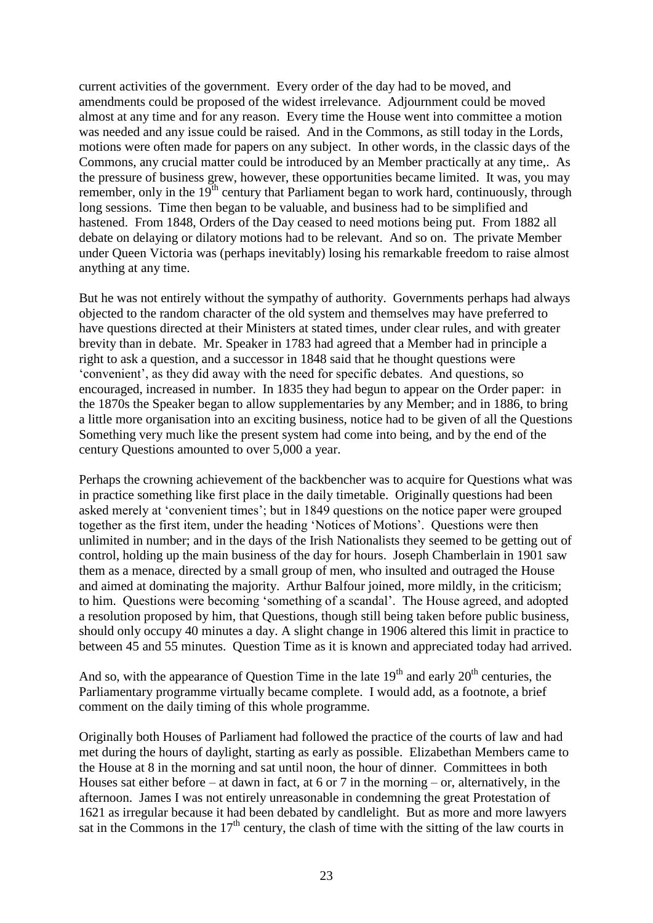current activities of the government. Every order of the day had to be moved, and amendments could be proposed of the widest irrelevance. Adjournment could be moved almost at any time and for any reason. Every time the House went into committee a motion was needed and any issue could be raised. And in the Commons, as still today in the Lords, motions were often made for papers on any subject. In other words, in the classic days of the Commons, any crucial matter could be introduced by an Member practically at any time,. As the pressure of business grew, however, these opportunities became limited. It was, you may remember, only in the  $19<sup>th</sup>$  century that Parliament began to work hard, continuously, through long sessions. Time then began to be valuable, and business had to be simplified and hastened. From 1848, Orders of the Day ceased to need motions being put. From 1882 all debate on delaying or dilatory motions had to be relevant. And so on. The private Member under Queen Victoria was (perhaps inevitably) losing his remarkable freedom to raise almost anything at any time.

But he was not entirely without the sympathy of authority. Governments perhaps had always objected to the random character of the old system and themselves may have preferred to have questions directed at their Ministers at stated times, under clear rules, and with greater brevity than in debate. Mr. Speaker in 1783 had agreed that a Member had in principle a right to ask a question, and a successor in 1848 said that he thought questions were "convenient", as they did away with the need for specific debates. And questions, so encouraged, increased in number. In 1835 they had begun to appear on the Order paper: in the 1870s the Speaker began to allow supplementaries by any Member; and in 1886, to bring a little more organisation into an exciting business, notice had to be given of all the Questions Something very much like the present system had come into being, and by the end of the century Questions amounted to over 5,000 a year.

Perhaps the crowning achievement of the backbencher was to acquire for Questions what was in practice something like first place in the daily timetable. Originally questions had been asked merely at "convenient times"; but in 1849 questions on the notice paper were grouped together as the first item, under the heading "Notices of Motions". Questions were then unlimited in number; and in the days of the Irish Nationalists they seemed to be getting out of control, holding up the main business of the day for hours. Joseph Chamberlain in 1901 saw them as a menace, directed by a small group of men, who insulted and outraged the House and aimed at dominating the majority. Arthur Balfour joined, more mildly, in the criticism; to him. Questions were becoming "something of a scandal". The House agreed, and adopted a resolution proposed by him, that Questions, though still being taken before public business, should only occupy 40 minutes a day. A slight change in 1906 altered this limit in practice to between 45 and 55 minutes. Question Time as it is known and appreciated today had arrived.

And so, with the appearance of Ouestion Time in the late  $19<sup>th</sup>$  and early  $20<sup>th</sup>$  centuries, the Parliamentary programme virtually became complete. I would add, as a footnote, a brief comment on the daily timing of this whole programme.

Originally both Houses of Parliament had followed the practice of the courts of law and had met during the hours of daylight, starting as early as possible. Elizabethan Members came to the House at 8 in the morning and sat until noon, the hour of dinner. Committees in both Houses sat either before – at dawn in fact, at 6 or 7 in the morning – or, alternatively, in the afternoon. James I was not entirely unreasonable in condemning the great Protestation of 1621 as irregular because it had been debated by candlelight. But as more and more lawyers sat in the Commons in the  $17<sup>th</sup>$  century, the clash of time with the sitting of the law courts in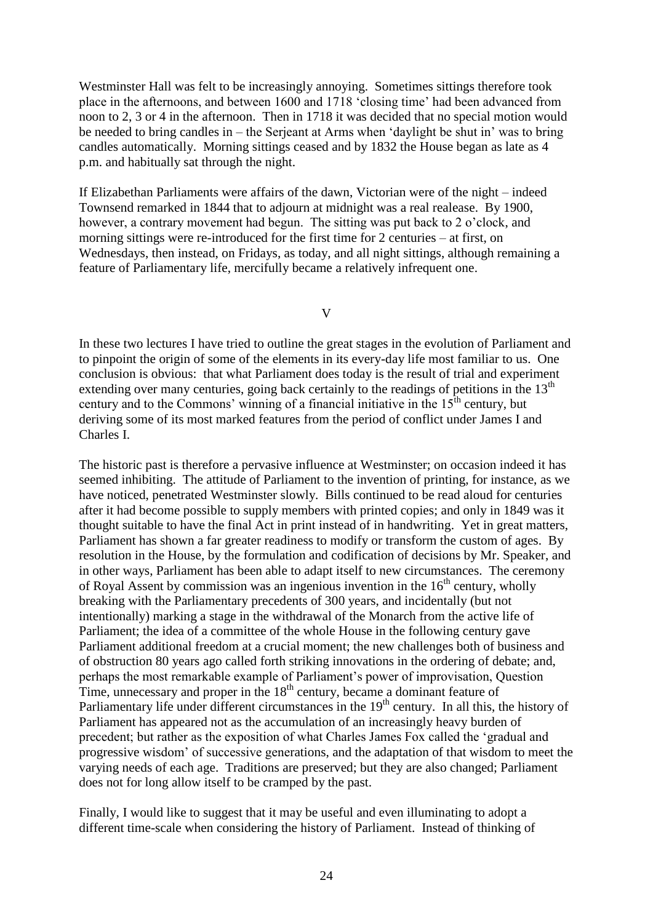Westminster Hall was felt to be increasingly annoying. Sometimes sittings therefore took place in the afternoons, and between 1600 and 1718 "closing time" had been advanced from noon to 2, 3 or 4 in the afternoon. Then in 1718 it was decided that no special motion would be needed to bring candles in – the Serjeant at Arms when "daylight be shut in" was to bring candles automatically. Morning sittings ceased and by 1832 the House began as late as 4 p.m. and habitually sat through the night.

If Elizabethan Parliaments were affairs of the dawn, Victorian were of the night – indeed Townsend remarked in 1844 that to adjourn at midnight was a real realease. By 1900, however, a contrary movement had begun. The sitting was put back to 2 o'clock, and morning sittings were re-introduced for the first time for 2 centuries – at first, on Wednesdays, then instead, on Fridays, as today, and all night sittings, although remaining a feature of Parliamentary life, mercifully became a relatively infrequent one.

V

In these two lectures I have tried to outline the great stages in the evolution of Parliament and to pinpoint the origin of some of the elements in its every-day life most familiar to us. One conclusion is obvious: that what Parliament does today is the result of trial and experiment extending over many centuries, going back certainly to the readings of petitions in the 13<sup>th</sup> century and to the Commons' winning of a financial initiative in the  $15<sup>th</sup>$  century, but deriving some of its most marked features from the period of conflict under James I and Charles I.

The historic past is therefore a pervasive influence at Westminster; on occasion indeed it has seemed inhibiting. The attitude of Parliament to the invention of printing, for instance, as we have noticed, penetrated Westminster slowly. Bills continued to be read aloud for centuries after it had become possible to supply members with printed copies; and only in 1849 was it thought suitable to have the final Act in print instead of in handwriting. Yet in great matters, Parliament has shown a far greater readiness to modify or transform the custom of ages. By resolution in the House, by the formulation and codification of decisions by Mr. Speaker, and in other ways, Parliament has been able to adapt itself to new circumstances. The ceremony of Royal Assent by commission was an ingenious invention in the  $16<sup>th</sup>$  century, wholly breaking with the Parliamentary precedents of 300 years, and incidentally (but not intentionally) marking a stage in the withdrawal of the Monarch from the active life of Parliament; the idea of a committee of the whole House in the following century gave Parliament additional freedom at a crucial moment; the new challenges both of business and of obstruction 80 years ago called forth striking innovations in the ordering of debate; and, perhaps the most remarkable example of Parliament"s power of improvisation, Question Time, unnecessary and proper in the  $18<sup>th</sup>$  century, became a dominant feature of Parliamentary life under different circumstances in the 19<sup>th</sup> century. In all this, the history of Parliament has appeared not as the accumulation of an increasingly heavy burden of precedent; but rather as the exposition of what Charles James Fox called the "gradual and progressive wisdom" of successive generations, and the adaptation of that wisdom to meet the varying needs of each age. Traditions are preserved; but they are also changed; Parliament does not for long allow itself to be cramped by the past.

Finally, I would like to suggest that it may be useful and even illuminating to adopt a different time-scale when considering the history of Parliament. Instead of thinking of